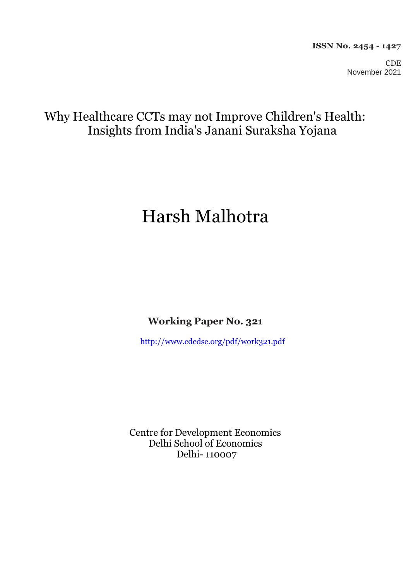CDE November 2021

## Why Healthcare CCTs may not Improve Children's Health: Insights from India's Janani Suraksha Yojana

# Harsh Malhotra

**Working Paper No. 321**

<http://www.cdedse.org/pdf/work321.pdf>

Centre for Development Economics Delhi School of Economics Delhi- 110007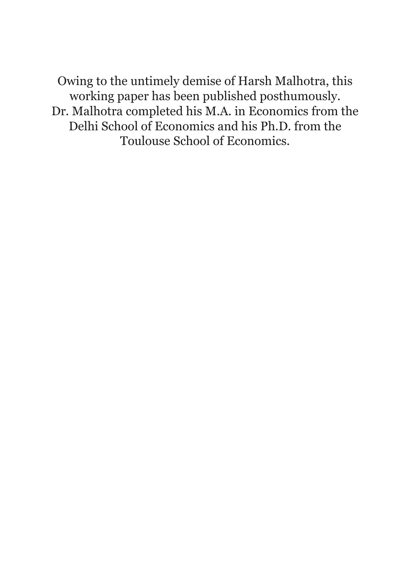Owing to the untimely demise of Harsh Malhotra, this working paper has been published posthumously. Dr. Malhotra completed his M.A. in Economics from the Delhi School of Economics and his Ph.D. from the Toulouse School of Economics.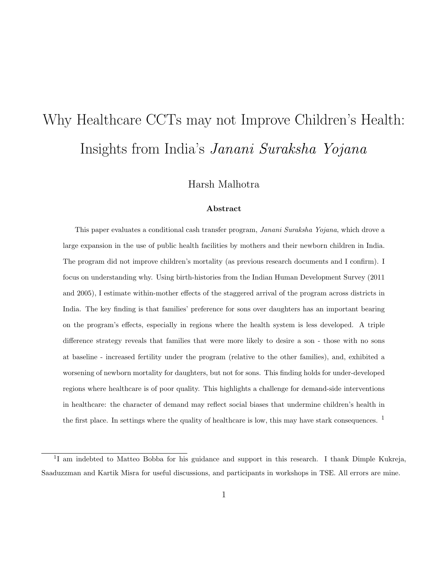# Why Healthcare CCTs may not Improve Children's Health: Insights from India's Janani Suraksha Yojana

Harsh Malhotra

#### Abstract

This paper evaluates a conditional cash transfer program, Janani Suraksha Yojana, which drove a large expansion in the use of public health facilities by mothers and their newborn children in India. The program did not improve children's mortality (as previous research documents and I confirm). I focus on understanding why. Using birth-histories from the Indian Human Development Survey (2011 and 2005), I estimate within-mother effects of the staggered arrival of the program across districts in India. The key finding is that families' preference for sons over daughters has an important bearing on the program's effects, especially in regions where the health system is less developed. A triple difference strategy reveals that families that were more likely to desire a son - those with no sons at baseline - increased fertility under the program (relative to the other families), and, exhibited a worsening of newborn mortality for daughters, but not for sons. This finding holds for under-developed regions where healthcare is of poor quality. This highlights a challenge for demand-side interventions in healthcare: the character of demand may reflect social biases that undermine children's health in the first place. In settings where the quality of healthcare is low, this may have stark consequences. <sup>1</sup>

<sup>&</sup>lt;sup>1</sup>I am indebted to Matteo Bobba for his guidance and support in this research. I thank Dimple Kukreja, Saaduzzman and Kartik Misra for useful discussions, and participants in workshops in TSE. All errors are mine.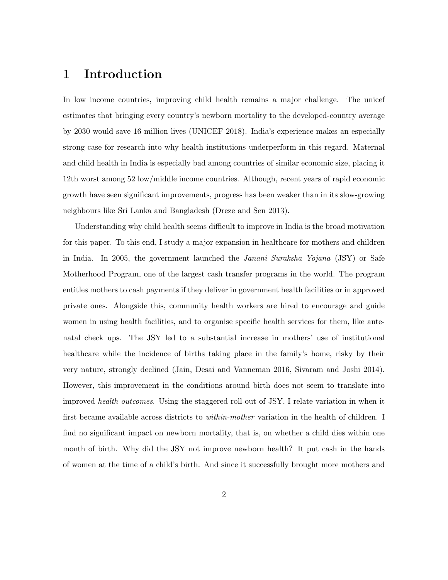### 1 Introduction

In low income countries, improving child health remains a major challenge. The unicef estimates that bringing every country's newborn mortality to the developed-country average by 2030 would save 16 million lives (UNICEF 2018). India's experience makes an especially strong case for research into why health institutions underperform in this regard. Maternal and child health in India is especially bad among countries of similar economic size, placing it 12th worst among 52 low/middle income countries. Although, recent years of rapid economic growth have seen significant improvements, progress has been weaker than in its slow-growing neighbours like Sri Lanka and Bangladesh (Dreze and Sen 2013).

Understanding why child health seems difficult to improve in India is the broad motivation for this paper. To this end, I study a major expansion in healthcare for mothers and children in India. In 2005, the government launched the Janani Suraksha Yojana (JSY) or Safe Motherhood Program, one of the largest cash transfer programs in the world. The program entitles mothers to cash payments if they deliver in government health facilities or in approved private ones. Alongside this, community health workers are hired to encourage and guide women in using health facilities, and to organise specific health services for them, like antenatal check ups. The JSY led to a substantial increase in mothers' use of institutional healthcare while the incidence of births taking place in the family's home, risky by their very nature, strongly declined (Jain, Desai and Vanneman 2016, Sivaram and Joshi 2014). However, this improvement in the conditions around birth does not seem to translate into improved health outcomes. Using the staggered roll-out of JSY, I relate variation in when it first became available across districts to *within-mother* variation in the health of children. I find no significant impact on newborn mortality, that is, on whether a child dies within one month of birth. Why did the JSY not improve newborn health? It put cash in the hands of women at the time of a child's birth. And since it successfully brought more mothers and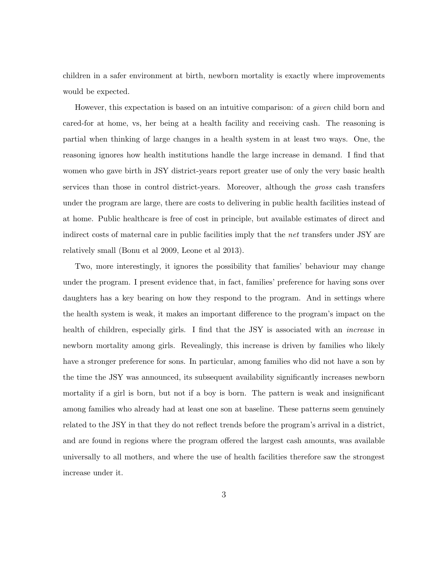children in a safer environment at birth, newborn mortality is exactly where improvements would be expected.

However, this expectation is based on an intuitive comparison: of a *given* child born and cared-for at home, vs, her being at a health facility and receiving cash. The reasoning is partial when thinking of large changes in a health system in at least two ways. One, the reasoning ignores how health institutions handle the large increase in demand. I find that women who gave birth in JSY district-years report greater use of only the very basic health services than those in control district-years. Moreover, although the gross cash transfers under the program are large, there are costs to delivering in public health facilities instead of at home. Public healthcare is free of cost in principle, but available estimates of direct and indirect costs of maternal care in public facilities imply that the net transfers under JSY are relatively small (Bonu et al 2009, Leone et al 2013).

Two, more interestingly, it ignores the possibility that families' behaviour may change under the program. I present evidence that, in fact, families' preference for having sons over daughters has a key bearing on how they respond to the program. And in settings where the health system is weak, it makes an important difference to the program's impact on the health of children, especially girls. I find that the JSY is associated with an *increase* in newborn mortality among girls. Revealingly, this increase is driven by families who likely have a stronger preference for sons. In particular, among families who did not have a son by the time the JSY was announced, its subsequent availability significantly increases newborn mortality if a girl is born, but not if a boy is born. The pattern is weak and insignificant among families who already had at least one son at baseline. These patterns seem genuinely related to the JSY in that they do not reflect trends before the program's arrival in a district, and are found in regions where the program offered the largest cash amounts, was available universally to all mothers, and where the use of health facilities therefore saw the strongest increase under it.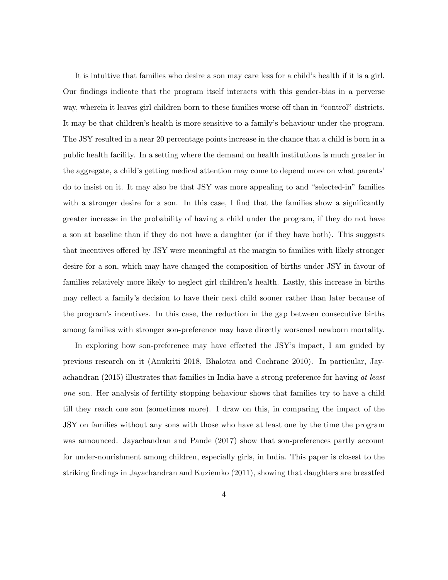It is intuitive that families who desire a son may care less for a child's health if it is a girl. Our findings indicate that the program itself interacts with this gender-bias in a perverse way, wherein it leaves girl children born to these families worse off than in "control" districts. It may be that children's health is more sensitive to a family's behaviour under the program. The JSY resulted in a near 20 percentage points increase in the chance that a child is born in a public health facility. In a setting where the demand on health institutions is much greater in the aggregate, a child's getting medical attention may come to depend more on what parents' do to insist on it. It may also be that JSY was more appealing to and "selected-in" families with a stronger desire for a son. In this case, I find that the families show a significantly greater increase in the probability of having a child under the program, if they do not have a son at baseline than if they do not have a daughter (or if they have both). This suggests that incentives offered by JSY were meaningful at the margin to families with likely stronger desire for a son, which may have changed the composition of births under JSY in favour of families relatively more likely to neglect girl children's health. Lastly, this increase in births may reflect a family's decision to have their next child sooner rather than later because of the program's incentives. In this case, the reduction in the gap between consecutive births among families with stronger son-preference may have directly worsened newborn mortality.

In exploring how son-preference may have effected the JSY's impact, I am guided by previous research on it (Anukriti 2018, Bhalotra and Cochrane 2010). In particular, Jayachandran (2015) illustrates that families in India have a strong preference for having at least one son. Her analysis of fertility stopping behaviour shows that families try to have a child till they reach one son (sometimes more). I draw on this, in comparing the impact of the JSY on families without any sons with those who have at least one by the time the program was announced. Jayachandran and Pande (2017) show that son-preferences partly account for under-nourishment among children, especially girls, in India. This paper is closest to the striking findings in Jayachandran and Kuziemko (2011), showing that daughters are breastfed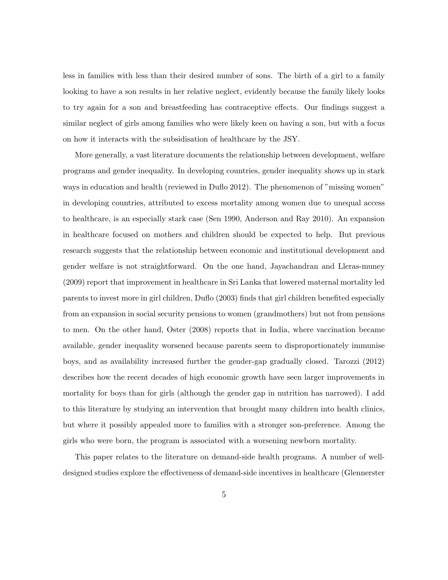less in families with less than their desired number of sons. The birth of a girl to a family looking to have a son results in her relative neglect, evidently because the family likely looks to try again for a son and breastfeeding has contraceptive effects. Our findings suggest a similar neglect of girls among families who were likely keen on having a son, but with a focus on how it interacts with the subsidisation of healthcare by the JSY.

More generally, a vast literature documents the relationship between development, welfare programs and gender inequality. In developing countries, gender inequality shows up in stark ways in education and health (reviewed in Duflo 2012). The phenomenon of "missing women" in developing countries, attributed to excess mortality among women due to unequal access to healthcare, is an especially stark case (Sen 1990, Anderson and Ray 2010). An expansion in healthcare focused on mothers and children should be expected to help. But previous research suggests that the relationship between economic and institutional development and gender welfare is not straightforward. On the one hand, Jayachandran and Lleras-muney (2009) report that improvement in healthcare in Sri Lanka that lowered maternal mortality led parents to invest more in girl children, Duflo (2003) finds that girl children benefited especially from an expansion in social security pensions to women (grandmothers) but not from pensions to men. On the other hand, Oster (2008) reports that in India, where vaccination became available, gender inequality worsened because parents seem to disproportionately immunise boys, and as availability increased further the gender-gap gradually closed. Tarozzi (2012) describes how the recent decades of high economic growth have seen larger improvements in mortality for boys than for girls (although the gender gap in nutrition has narrowed). I add to this literature by studying an intervention that brought many children into health clinics, but where it possibly appealed more to families with a stronger son-preference. Among the girls who were born, the program is associated with a worsening newborn mortality.

This paper relates to the literature on demand-side health programs. A number of welldesigned studies explore the effectiveness of demand-side incentives in healthcare (Glennerster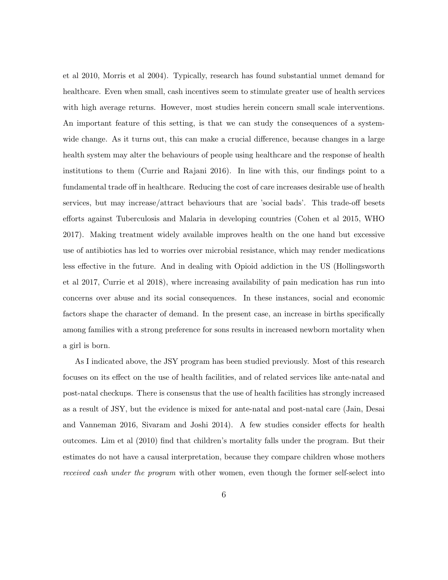et al 2010, Morris et al 2004). Typically, research has found substantial unmet demand for healthcare. Even when small, cash incentives seem to stimulate greater use of health services with high average returns. However, most studies herein concern small scale interventions. An important feature of this setting, is that we can study the consequences of a systemwide change. As it turns out, this can make a crucial difference, because changes in a large health system may alter the behaviours of people using healthcare and the response of health institutions to them (Currie and Rajani 2016). In line with this, our findings point to a fundamental trade off in healthcare. Reducing the cost of care increases desirable use of health services, but may increase/attract behaviours that are 'social bads'. This trade-off besets efforts against Tuberculosis and Malaria in developing countries (Cohen et al 2015, WHO 2017). Making treatment widely available improves health on the one hand but excessive use of antibiotics has led to worries over microbial resistance, which may render medications less effective in the future. And in dealing with Opioid addiction in the US (Hollingsworth et al 2017, Currie et al 2018), where increasing availability of pain medication has run into concerns over abuse and its social consequences. In these instances, social and economic factors shape the character of demand. In the present case, an increase in births specifically among families with a strong preference for sons results in increased newborn mortality when a girl is born.

As I indicated above, the JSY program has been studied previously. Most of this research focuses on its effect on the use of health facilities, and of related services like ante-natal and post-natal checkups. There is consensus that the use of health facilities has strongly increased as a result of JSY, but the evidence is mixed for ante-natal and post-natal care (Jain, Desai and Vanneman 2016, Sivaram and Joshi 2014). A few studies consider effects for health outcomes. Lim et al (2010) find that children's mortality falls under the program. But their estimates do not have a causal interpretation, because they compare children whose mothers received cash under the program with other women, even though the former self-select into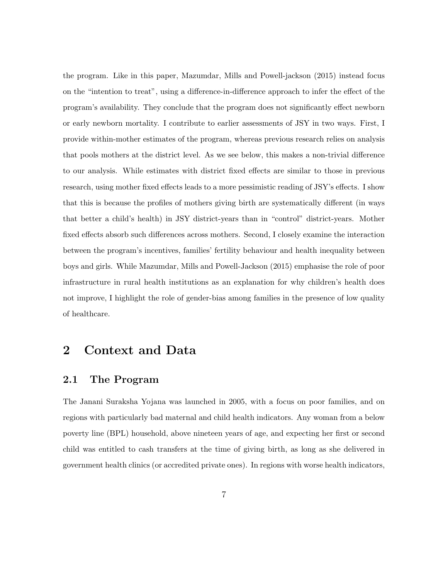the program. Like in this paper, Mazumdar, Mills and Powell-jackson (2015) instead focus on the "intention to treat", using a difference-in-difference approach to infer the effect of the program's availability. They conclude that the program does not significantly effect newborn or early newborn mortality. I contribute to earlier assessments of JSY in two ways. First, I provide within-mother estimates of the program, whereas previous research relies on analysis that pools mothers at the district level. As we see below, this makes a non-trivial difference to our analysis. While estimates with district fixed effects are similar to those in previous research, using mother fixed effects leads to a more pessimistic reading of JSY's effects. I show that this is because the profiles of mothers giving birth are systematically different (in ways that better a child's health) in JSY district-years than in "control" district-years. Mother fixed effects absorb such differences across mothers. Second, I closely examine the interaction between the program's incentives, families' fertility behaviour and health inequality between boys and girls. While Mazumdar, Mills and Powell-Jackson (2015) emphasise the role of poor infrastructure in rural health institutions as an explanation for why children's health does not improve, I highlight the role of gender-bias among families in the presence of low quality of healthcare.

### 2 Context and Data

### 2.1 The Program

The Janani Suraksha Yojana was launched in 2005, with a focus on poor families, and on regions with particularly bad maternal and child health indicators. Any woman from a below poverty line (BPL) household, above nineteen years of age, and expecting her first or second child was entitled to cash transfers at the time of giving birth, as long as she delivered in government health clinics (or accredited private ones). In regions with worse health indicators,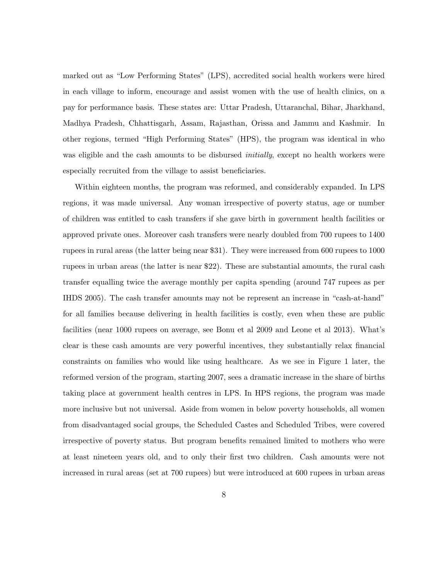marked out as "Low Performing States" (LPS), accredited social health workers were hired in each village to inform, encourage and assist women with the use of health clinics, on a pay for performance basis. These states are: Uttar Pradesh, Uttaranchal, Bihar, Jharkhand, Madhya Pradesh, Chhattisgarh, Assam, Rajasthan, Orissa and Jammu and Kashmir. In other regions, termed "High Performing States" (HPS), the program was identical in who was eligible and the cash amounts to be disbursed *initially*, except no health workers were especially recruited from the village to assist beneficiaries.

Within eighteen months, the program was reformed, and considerably expanded. In LPS regions, it was made universal. Any woman irrespective of poverty status, age or number of children was entitled to cash transfers if she gave birth in government health facilities or approved private ones. Moreover cash transfers were nearly doubled from 700 rupees to 1400 rupees in rural areas (the latter being near \$31). They were increased from 600 rupees to 1000 rupees in urban areas (the latter is near \$22). These are substantial amounts, the rural cash transfer equalling twice the average monthly per capita spending (around 747 rupees as per IHDS 2005). The cash transfer amounts may not be represent an increase in "cash-at-hand" for all families because delivering in health facilities is costly, even when these are public facilities (near 1000 rupees on average, see Bonu et al 2009 and Leone et al 2013). What's clear is these cash amounts are very powerful incentives, they substantially relax financial constraints on families who would like using healthcare. As we see in Figure 1 later, the reformed version of the program, starting 2007, sees a dramatic increase in the share of births taking place at government health centres in LPS. In HPS regions, the program was made more inclusive but not universal. Aside from women in below poverty households, all women from disadvantaged social groups, the Scheduled Castes and Scheduled Tribes, were covered irrespective of poverty status. But program benefits remained limited to mothers who were at least nineteen years old, and to only their first two children. Cash amounts were not increased in rural areas (set at 700 rupees) but were introduced at 600 rupees in urban areas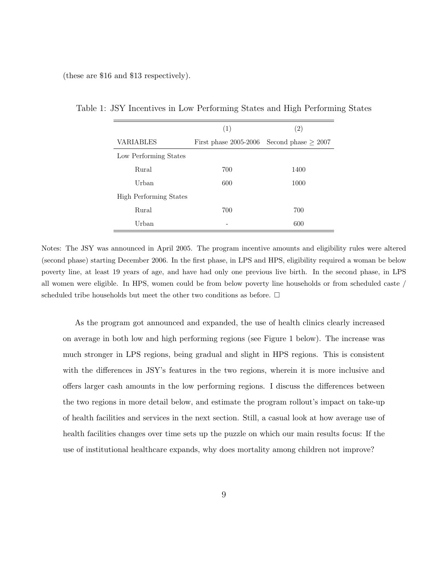(these are \$16 and \$13 respectively).

|                               | (1)                                            | (2)  |
|-------------------------------|------------------------------------------------|------|
| VARIABLES                     | First phase 2005-2006 Second phase $\geq 2007$ |      |
| Low Performing States         |                                                |      |
| Rural                         | 700                                            | 1400 |
| Urban                         | 600                                            | 1000 |
| <b>High Performing States</b> |                                                |      |
| Rural                         | 700                                            | 700  |
| Urban                         |                                                | 600  |

Table 1: JSY Incentives in Low Performing States and High Performing States

Notes: The JSY was announced in April 2005. The program incentive amounts and eligibility rules were altered (second phase) starting December 2006. In the first phase, in LPS and HPS, eligibility required a woman be below poverty line, at least 19 years of age, and have had only one previous live birth. In the second phase, in LPS all women were eligible. In HPS, women could be from below poverty line households or from scheduled caste / scheduled tribe households but meet the other two conditions as before.  $\Box$ 

As the program got announced and expanded, the use of health clinics clearly increased on average in both low and high performing regions (see Figure 1 below). The increase was much stronger in LPS regions, being gradual and slight in HPS regions. This is consistent with the differences in JSY's features in the two regions, wherein it is more inclusive and offers larger cash amounts in the low performing regions. I discuss the differences between the two regions in more detail below, and estimate the program rollout's impact on take-up of health facilities and services in the next section. Still, a casual look at how average use of health facilities changes over time sets up the puzzle on which our main results focus: If the use of institutional healthcare expands, why does mortality among children not improve?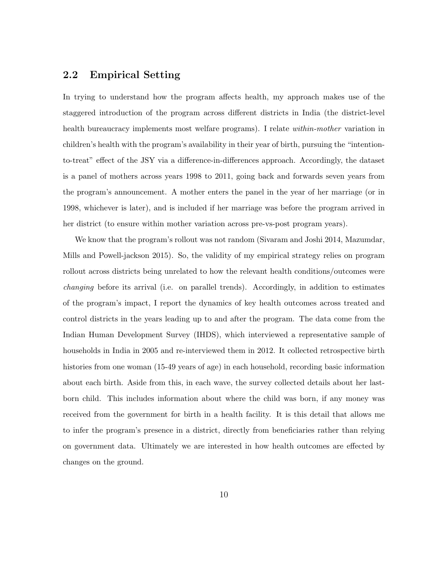### 2.2 Empirical Setting

In trying to understand how the program affects health, my approach makes use of the staggered introduction of the program across different districts in India (the district-level health bureaucracy implements most welfare programs). I relate *within-mother* variation in children's health with the program's availability in their year of birth, pursuing the "intentionto-treat" effect of the JSY via a difference-in-differences approach. Accordingly, the dataset is a panel of mothers across years 1998 to 2011, going back and forwards seven years from the program's announcement. A mother enters the panel in the year of her marriage (or in 1998, whichever is later), and is included if her marriage was before the program arrived in her district (to ensure within mother variation across pre-vs-post program years).

We know that the program's rollout was not random (Sivaram and Joshi 2014, Mazumdar, Mills and Powell-jackson 2015). So, the validity of my empirical strategy relies on program rollout across districts being unrelated to how the relevant health conditions/outcomes were changing before its arrival (i.e. on parallel trends). Accordingly, in addition to estimates of the program's impact, I report the dynamics of key health outcomes across treated and control districts in the years leading up to and after the program. The data come from the Indian Human Development Survey (IHDS), which interviewed a representative sample of households in India in 2005 and re-interviewed them in 2012. It collected retrospective birth histories from one woman (15-49 years of age) in each household, recording basic information about each birth. Aside from this, in each wave, the survey collected details about her lastborn child. This includes information about where the child was born, if any money was received from the government for birth in a health facility. It is this detail that allows me to infer the program's presence in a district, directly from beneficiaries rather than relying on government data. Ultimately we are interested in how health outcomes are effected by changes on the ground.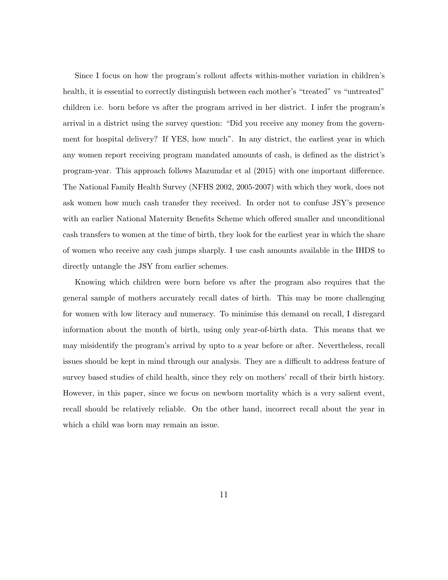Since I focus on how the program's rollout affects within-mother variation in children's health, it is essential to correctly distinguish between each mother's "treated" vs "untreated" children i.e. born before vs after the program arrived in her district. I infer the program's arrival in a district using the survey question: "Did you receive any money from the government for hospital delivery? If YES, how much". In any district, the earliest year in which any women report receiving program mandated amounts of cash, is defined as the district's program-year. This approach follows Mazumdar et al (2015) with one important difference. The National Family Health Survey (NFHS 2002, 2005-2007) with which they work, does not ask women how much cash transfer they received. In order not to confuse JSY's presence with an earlier National Maternity Benefits Scheme which offered smaller and unconditional cash transfers to women at the time of birth, they look for the earliest year in which the share of women who receive any cash jumps sharply. I use cash amounts available in the IHDS to directly untangle the JSY from earlier schemes.

Knowing which children were born before vs after the program also requires that the general sample of mothers accurately recall dates of birth. This may be more challenging for women with low literacy and numeracy. To minimise this demand on recall, I disregard information about the month of birth, using only year-of-birth data. This means that we may misidentify the program's arrival by upto to a year before or after. Nevertheless, recall issues should be kept in mind through our analysis. They are a difficult to address feature of survey based studies of child health, since they rely on mothers' recall of their birth history. However, in this paper, since we focus on newborn mortality which is a very salient event, recall should be relatively reliable. On the other hand, incorrect recall about the year in which a child was born may remain an issue.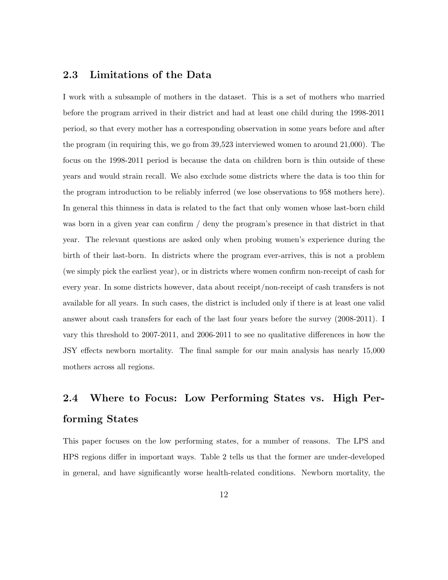### 2.3 Limitations of the Data

I work with a subsample of mothers in the dataset. This is a set of mothers who married before the program arrived in their district and had at least one child during the 1998-2011 period, so that every mother has a corresponding observation in some years before and after the program (in requiring this, we go from 39,523 interviewed women to around 21,000). The focus on the 1998-2011 period is because the data on children born is thin outside of these years and would strain recall. We also exclude some districts where the data is too thin for the program introduction to be reliably inferred (we lose observations to 958 mothers here). In general this thinness in data is related to the fact that only women whose last-born child was born in a given year can confirm / deny the program's presence in that district in that year. The relevant questions are asked only when probing women's experience during the birth of their last-born. In districts where the program ever-arrives, this is not a problem (we simply pick the earliest year), or in districts where women confirm non-receipt of cash for every year. In some districts however, data about receipt/non-receipt of cash transfers is not available for all years. In such cases, the district is included only if there is at least one valid answer about cash transfers for each of the last four years before the survey (2008-2011). I vary this threshold to 2007-2011, and 2006-2011 to see no qualitative differences in how the JSY effects newborn mortality. The final sample for our main analysis has nearly 15,000 mothers across all regions.

## 2.4 Where to Focus: Low Performing States vs. High Performing States

This paper focuses on the low performing states, for a number of reasons. The LPS and HPS regions differ in important ways. Table 2 tells us that the former are under-developed in general, and have significantly worse health-related conditions. Newborn mortality, the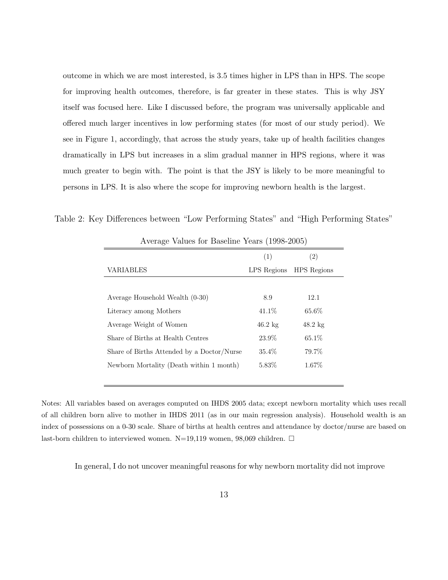outcome in which we are most interested, is 3.5 times higher in LPS than in HPS. The scope for improving health outcomes, therefore, is far greater in these states. This is why JSY itself was focused here. Like I discussed before, the program was universally applicable and offered much larger incentives in low performing states (for most of our study period). We see in Figure 1, accordingly, that across the study years, take up of health facilities changes dramatically in LPS but increases in a slim gradual manner in HPS regions, where it was much greater to begin with. The point is that the JSY is likely to be more meaningful to persons in LPS. It is also where the scope for improving newborn health is the largest.

Table 2: Key Differences between "Low Performing States" and "High Performing States"

|                                            | (1)               | (2)                |
|--------------------------------------------|-------------------|--------------------|
| <b>VARIABLES</b>                           | LPS Regions       | <b>HPS</b> Regions |
|                                            |                   |                    |
| Average Household Wealth (0-30)            | 8.9               | 12.1               |
| Literacy among Mothers                     | 41.1\%            | 65.6%              |
| Average Weight of Women                    | $46.2 \text{ kg}$ | $48.2 \text{ kg}$  |
| Share of Births at Health Centres          | 23.9%             | 65.1\%             |
| Share of Births Attended by a Doctor/Nurse | 35.4\%            | 79.7%              |
| Newborn Mortality (Death within 1 month)   | 5.83\%            | 1.67\%             |
|                                            |                   |                    |

Average Values for Baseline Years (1998-2005)

Notes: All variables based on averages computed on IHDS 2005 data; except newborn mortality which uses recall of all children born alive to mother in IHDS 2011 (as in our main regression analysis). Household wealth is an index of possessions on a 0-30 scale. Share of births at health centres and attendance by doctor/nurse are based on last-born children to interviewed women. N=19,119 women, 98,069 children.  $\Box$ 

In general, I do not uncover meaningful reasons for why newborn mortality did not improve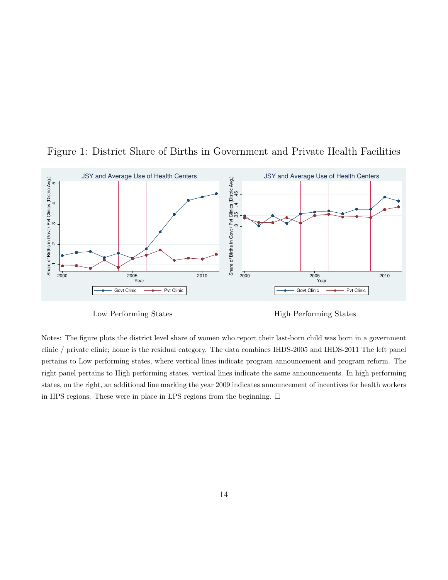

Figure 1: District Share of Births in Government and Private Health Facilities

Low Performing States

High Performing States

Notes: The figure plots the district level share of women who report their last-born child was born in a government clinic / private clinic; home is the residual category. The data combines IHDS-2005 and IHDS-2011 The left panel pertains to Low performing states, where vertical lines indicate program announcement and program reform. The right panel pertains to High performing states, vertical lines indicate the same announcements. In high performing states, on the right, an additional line marking the year 2009 indicates announcement of incentives for health workers in HPS regions. These were in place in LPS regions from the beginning.  $\Box$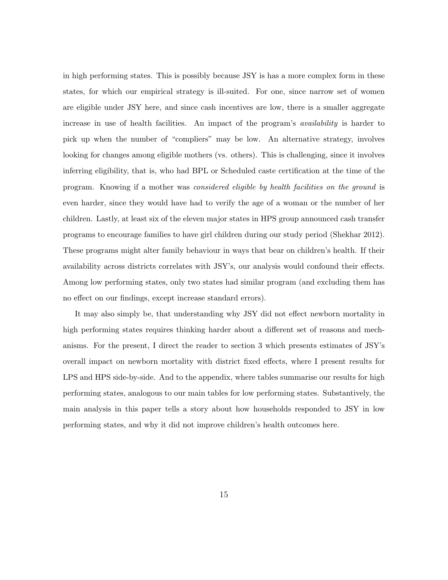in high performing states. This is possibly because JSY is has a more complex form in these states, for which our empirical strategy is ill-suited. For one, since narrow set of women are eligible under JSY here, and since cash incentives are low, there is a smaller aggregate increase in use of health facilities. An impact of the program's availability is harder to pick up when the number of "compliers" may be low. An alternative strategy, involves looking for changes among eligible mothers (vs. others). This is challenging, since it involves inferring eligibility, that is, who had BPL or Scheduled caste certification at the time of the program. Knowing if a mother was considered eligible by health facilities on the ground is even harder, since they would have had to verify the age of a woman or the number of her children. Lastly, at least six of the eleven major states in HPS group announced cash transfer programs to encourage families to have girl children during our study period (Shekhar 2012). These programs might alter family behaviour in ways that bear on children's health. If their availability across districts correlates with JSY's, our analysis would confound their effects. Among low performing states, only two states had similar program (and excluding them has no effect on our findings, except increase standard errors).

It may also simply be, that understanding why JSY did not effect newborn mortality in high performing states requires thinking harder about a different set of reasons and mechanisms. For the present, I direct the reader to section 3 which presents estimates of JSY's overall impact on newborn mortality with district fixed effects, where I present results for LPS and HPS side-by-side. And to the appendix, where tables summarise our results for high performing states, analogous to our main tables for low performing states. Substantively, the main analysis in this paper tells a story about how households responded to JSY in low performing states, and why it did not improve children's health outcomes here.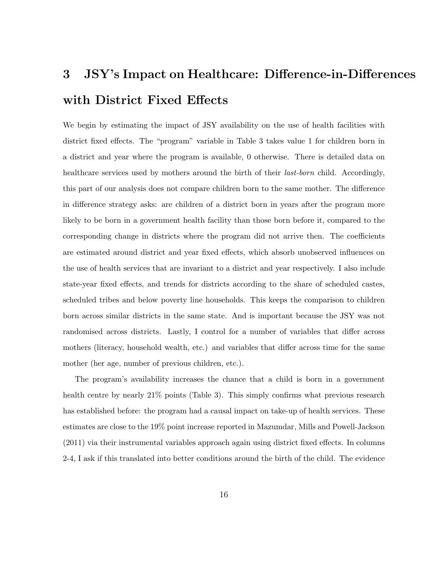## 3 JSY's Impact on Healthcare: Difference-in-Differences with District Fixed Effects

We begin by estimating the impact of JSY availability on the use of health facilities with district fixed effects. The "program" variable in Table 3 takes value 1 for children born in a district and year where the program is available, 0 otherwise. There is detailed data on healthcare services used by mothers around the birth of their *last-born* child. Accordingly, this part of our analysis does not compare children born to the same mother. The difference in difference strategy asks: are children of a district born in years after the program more likely to be born in a government health facility than those born before it, compared to the corresponding change in districts where the program did not arrive then. The coefficients are estimated around district and year fixed effects, which absorb unobserved influences on the use of health services that are invariant to a district and year respectively. I also include state-year fixed effects, and trends for districts according to the share of scheduled castes, scheduled tribes and below poverty line households. This keeps the comparison to children born across similar districts in the same state. And is important because the JSY was not randomised across districts. Lastly, I control for a number of variables that differ across mothers (literacy, household wealth, etc.) and variables that differ across time for the same mother (her age, number of previous children, etc.).

The program's availability increases the chance that a child is born in a government health centre by nearly 21% points (Table 3). This simply confirms what previous research has established before: the program had a causal impact on take-up of health services. These estimates are close to the 19% point increase reported in Mazumdar, Mills and Powell-Jackson (2011) via their instrumental variables approach again using district fixed effects. In columns 2-4, I ask if this translated into better conditions around the birth of the child. The evidence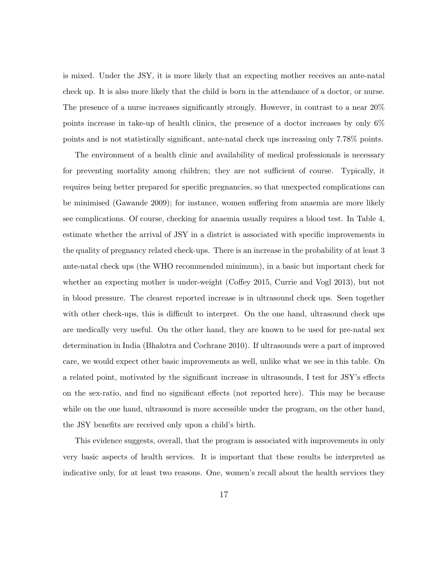is mixed. Under the JSY, it is more likely that an expecting mother receives an ante-natal check up. It is also more likely that the child is born in the attendance of a doctor, or nurse. The presence of a nurse increases significantly strongly. However, in contrast to a near 20% points increase in take-up of health clinics, the presence of a doctor increases by only 6% points and is not statistically significant, ante-natal check ups increasing only 7.78% points.

The environment of a health clinic and availability of medical professionals is necessary for preventing mortality among children; they are not sufficient of course. Typically, it requires being better prepared for specific pregnancies, so that unexpected complications can be minimised (Gawande 2009); for instance, women suffering from anaemia are more likely see complications. Of course, checking for anaemia usually requires a blood test. In Table 4, estimate whether the arrival of JSY in a district is associated with specific improvements in the quality of pregnancy related check-ups. There is an increase in the probability of at least 3 ante-natal check ups (the WHO recommended minimum), in a basic but important check for whether an expecting mother is under-weight (Coffey 2015, Currie and Vogl 2013), but not in blood pressure. The clearest reported increase is in ultrasound check ups. Seen together with other check-ups, this is difficult to interpret. On the one hand, ultrasound check ups are medically very useful. On the other hand, they are known to be used for pre-natal sex determination in India (Bhalotra and Cochrane 2010). If ultrasounds were a part of improved care, we would expect other basic improvements as well, unlike what we see in this table. On a related point, motivated by the significant increase in ultrasounds, I test for JSY's effects on the sex-ratio, and find no significant effects (not reported here). This may be because while on the one hand, ultrasound is more accessible under the program, on the other hand, the JSY benefits are received only upon a child's birth.

This evidence suggests, overall, that the program is associated with improvements in only very basic aspects of health services. It is important that these results be interpreted as indicative only, for at least two reasons. One, women's recall about the health services they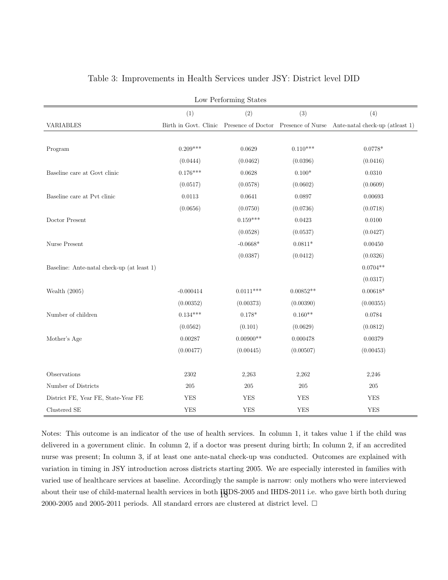| Low Performing States                      |             |             |             |                                                                                             |  |
|--------------------------------------------|-------------|-------------|-------------|---------------------------------------------------------------------------------------------|--|
|                                            | (1)         | (2)         | (3)         | (4)                                                                                         |  |
| VARIABLES                                  |             |             |             | Birth in Govt. Clinic Presence of Doctor Presence of Nurse Ante-natal check-up (at least 1) |  |
|                                            |             |             |             |                                                                                             |  |
| Program                                    | $0.209***$  | 0.0629      | $0.110***$  | $0.0778*$                                                                                   |  |
|                                            | (0.0444)    | (0.0462)    | (0.0396)    | (0.0416)                                                                                    |  |
| Baseline care at Govt clinic               | $0.176***$  | 0.0628      | $0.100*$    | 0.0310                                                                                      |  |
|                                            | (0.0517)    | (0.0578)    | (0.0602)    | (0.0609)                                                                                    |  |
| Baseline care at Pvt clinic                | 0.0113      | 0.0641      | 0.0897      | 0.00693                                                                                     |  |
|                                            | (0.0656)    | (0.0750)    | (0.0736)    | (0.0718)                                                                                    |  |
| Doctor Present                             |             | $0.159***$  | 0.0423      | 0.0100                                                                                      |  |
|                                            |             | (0.0528)    | (0.0537)    | (0.0427)                                                                                    |  |
| Nurse Present                              |             | $-0.0668*$  | $0.0811*$   | 0.00450                                                                                     |  |
|                                            |             | (0.0387)    | (0.0412)    | (0.0326)                                                                                    |  |
| Baseline: Ante-natal check-up (at least 1) |             |             |             | $0.0704**$                                                                                  |  |
|                                            |             |             |             | (0.0317)                                                                                    |  |
| Wealth $(2005)$                            | $-0.000414$ | $0.0111***$ | $0.00852**$ | $0.00618*$                                                                                  |  |
|                                            | (0.00352)   | (0.00373)   | (0.00390)   | (0.00355)                                                                                   |  |
| Number of children                         | $0.134***$  | $0.178*$    | $0.160**$   | 0.0784                                                                                      |  |
|                                            | (0.0562)    | (0.101)     | (0.0629)    | (0.0812)                                                                                    |  |
| Mother's Age                               | 0.00287     | $0.00900**$ | 0.000478    | 0.00379                                                                                     |  |
|                                            | (0.00477)   | (0.00445)   | (0.00507)   | (0.00453)                                                                                   |  |
|                                            |             |             |             |                                                                                             |  |
| Observations                               | 2302        | 2,263       | 2,262       | 2,246                                                                                       |  |
| Number of Districts                        | $205\,$     | $205\,$     | $205\,$     | $205\,$                                                                                     |  |
| District FE, Year FE, State-Year FE        | <b>YES</b>  | <b>YES</b>  | <b>YES</b>  | <b>YES</b>                                                                                  |  |
| Clustered SE                               | <b>YES</b>  | <b>YES</b>  | <b>YES</b>  | <b>YES</b>                                                                                  |  |

### Table 3: Improvements in Health Services under JSY: District level DID

Notes: This outcome is an indicator of the use of health services. In column 1, it takes value 1 if the child was delivered in a government clinic. In column 2, if a doctor was present during birth; In column 2, if an accredited nurse was present; In column 3, if at least one ante-natal check-up was conducted. Outcomes are explained with variation in timing in JSY introduction across districts starting 2005. We are especially interested in families with varied use of healthcare services at baseline. Accordingly the sample is narrow: only mothers who were interviewed about their use of child-maternal health services in both  $\ddagger$ HDS-2005 and IHDS-2011 i.e. who gave birth both during 2000-2005 and 2005-2011 periods. All standard errors are clustered at district level.  $\Box$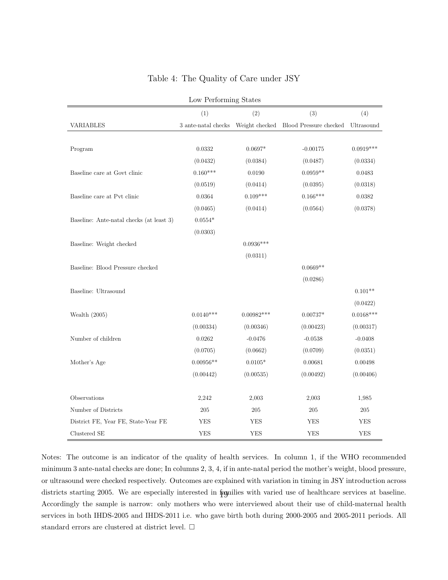| Low Performing States                    |                            |              |                                       |                  |  |
|------------------------------------------|----------------------------|--------------|---------------------------------------|------------------|--|
|                                          | (1)                        | (2)          | (3)                                   | (4)              |  |
| VARIABLES                                | $3$ ante-natal checks $\,$ |              | Weight checked Blood Pressure checked | Ultrasound       |  |
|                                          |                            |              |                                       |                  |  |
| Program                                  | $\,0.0332\,$               | $0.0697*$    | $-0.00175$                            | $0.0919***$      |  |
|                                          | (0.0432)                   | (0.0384)     | (0.0487)                              | (0.0334)         |  |
| Baseline care at Govt clinic             | $0.160***$                 | 0.0190       | $0.0959**$                            | 0.0483           |  |
|                                          | (0.0519)                   | (0.0414)     | (0.0395)                              | (0.0318)         |  |
| Baseline care at Pvt clinic              | 0.0364                     | $0.109***$   | $0.166***$                            | 0.0382           |  |
|                                          | (0.0465)                   | (0.0414)     | (0.0564)                              | (0.0378)         |  |
| Baseline: Ante-natal checks (at least 3) | $0.0554*$                  |              |                                       |                  |  |
|                                          | (0.0303)                   |              |                                       |                  |  |
| Baseline: Weight checked                 |                            | $0.0936***$  |                                       |                  |  |
|                                          |                            | (0.0311)     |                                       |                  |  |
| Baseline: Blood Pressure checked         |                            |              | $0.0669**$                            |                  |  |
|                                          |                            |              | (0.0286)                              |                  |  |
| Baseline: Ultrasound                     |                            |              |                                       | $0.101**$        |  |
|                                          |                            |              |                                       | (0.0422)         |  |
| Wealth $(2005)$                          | $0.0140***$                | $0.00982***$ | $0.00737*$                            | $0.0168^{***}\,$ |  |
|                                          | (0.00334)                  | (0.00346)    | (0.00423)                             | (0.00317)        |  |
| Number of children                       | 0.0262                     | $-0.0476$    | $-0.0538$                             | $-0.0408$        |  |
|                                          | (0.0705)                   | (0.0662)     | (0.0709)                              | (0.0351)         |  |
| Mother's Age                             | $0.00956**$                | $0.0105*$    | 0.00681                               | 0.00498          |  |
|                                          | (0.00442)                  | (0.00535)    | (0.00492)                             | (0.00406)        |  |
|                                          |                            |              |                                       |                  |  |
| Observations                             | 2,242                      | 2,003        | 2,003                                 | 1,985            |  |
| Number of Districts                      | $205\,$                    | $205\,$      | $205\,$                               | 205              |  |
| District FE, Year FE, State-Year FE      | YES                        | YES          | <b>YES</b>                            | YES              |  |
| Clustered SE                             | YES                        | YES          | YES                                   | YES              |  |

### Table 4: The Quality of Care under JSY

Notes: The outcome is an indicator of the quality of health services. In column 1, if the WHO recommended minimum 3 ante-natal checks are done; In columns 2, 3, 4, if in ante-natal period the mother's weight, blood pressure, or ultrasound were checked respectively. Outcomes are explained with variation in timing in JSY introduction across districts starting 2005. We are especially interested in families with varied use of healthcare services at baseline. Accordingly the sample is narrow: only mothers who were interviewed about their use of child-maternal health services in both IHDS-2005 and IHDS-2011 i.e. who gave birth both during 2000-2005 and 2005-2011 periods. All standard errors are clustered at district level.  $\Box$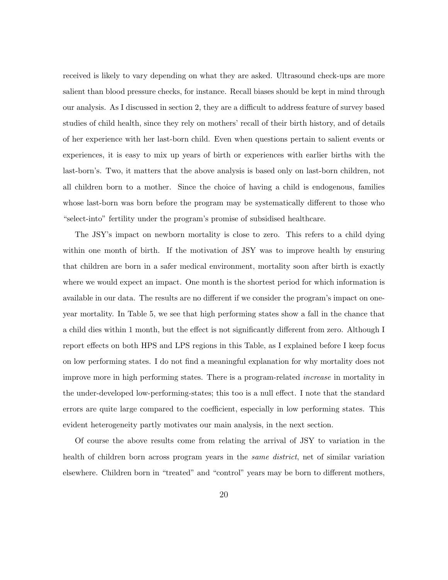received is likely to vary depending on what they are asked. Ultrasound check-ups are more salient than blood pressure checks, for instance. Recall biases should be kept in mind through our analysis. As I discussed in section 2, they are a difficult to address feature of survey based studies of child health, since they rely on mothers' recall of their birth history, and of details of her experience with her last-born child. Even when questions pertain to salient events or experiences, it is easy to mix up years of birth or experiences with earlier births with the last-born's. Two, it matters that the above analysis is based only on last-born children, not all children born to a mother. Since the choice of having a child is endogenous, families whose last-born was born before the program may be systematically different to those who "select-into" fertility under the program's promise of subsidised healthcare.

The JSY's impact on newborn mortality is close to zero. This refers to a child dying within one month of birth. If the motivation of JSY was to improve health by ensuring that children are born in a safer medical environment, mortality soon after birth is exactly where we would expect an impact. One month is the shortest period for which information is available in our data. The results are no different if we consider the program's impact on oneyear mortality. In Table 5, we see that high performing states show a fall in the chance that a child dies within 1 month, but the effect is not significantly different from zero. Although I report effects on both HPS and LPS regions in this Table, as I explained before I keep focus on low performing states. I do not find a meaningful explanation for why mortality does not improve more in high performing states. There is a program-related increase in mortality in the under-developed low-performing-states; this too is a null effect. I note that the standard errors are quite large compared to the coefficient, especially in low performing states. This evident heterogeneity partly motivates our main analysis, in the next section.

Of course the above results come from relating the arrival of JSY to variation in the health of children born across program years in the *same district*, net of similar variation elsewhere. Children born in "treated" and "control" years may be born to different mothers,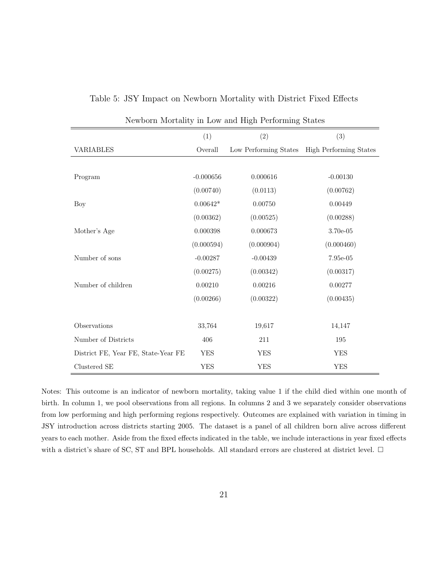|                                     |             | rewporth mortality in Low and High I eriorining brates |                               |
|-------------------------------------|-------------|--------------------------------------------------------|-------------------------------|
|                                     | (1)         | (2)                                                    | (3)                           |
| VARIABLES                           | Overall     | Low Performing States                                  | <b>High Performing States</b> |
|                                     |             |                                                        |                               |
| Program                             | $-0.000656$ | 0.000616                                               | $-0.00130$                    |
|                                     | (0.00740)   | (0.0113)                                               | (0.00762)                     |
| Boy                                 | $0.00642*$  | 0.00750                                                | 0.00449                       |
|                                     | (0.00362)   | (0.00525)                                              | (0.00288)                     |
| Mother's Age                        | 0.000398    | 0.000673                                               | 3.70e-05                      |
|                                     | (0.000594)  | (0.000904)                                             | (0.000460)                    |
| Number of sons                      | $-0.00287$  | $-0.00439$                                             | 7.95e-05                      |
|                                     | (0.00275)   | (0.00342)                                              | (0.00317)                     |
| Number of children                  | 0.00210     | 0.00216                                                | 0.00277                       |
|                                     | (0.00266)   | (0.00322)                                              | (0.00435)                     |
|                                     |             |                                                        |                               |
| Observations                        | 33,764      | 19,617                                                 | 14,147                        |
| Number of Districts                 | 406         | 211                                                    | 195                           |
| District FE, Year FE, State-Year FE | YES         | <b>YES</b>                                             | <b>YES</b>                    |
| Clustered SE                        | <b>YES</b>  | <b>YES</b>                                             | <b>YES</b>                    |

Table 5: JSY Impact on Newborn Mortality with District Fixed Effects

Newborn Mortality in Low and High Performing States

Notes: This outcome is an indicator of newborn mortality, taking value 1 if the child died within one month of birth. In column 1, we pool observations from all regions. In columns 2 and 3 we separately consider observations from low performing and high performing regions respectively. Outcomes are explained with variation in timing in JSY introduction across districts starting 2005. The dataset is a panel of all children born alive across different years to each mother. Aside from the fixed effects indicated in the table, we include interactions in year fixed effects with a district's share of SC, ST and BPL households. All standard errors are clustered at district level.  $\Box$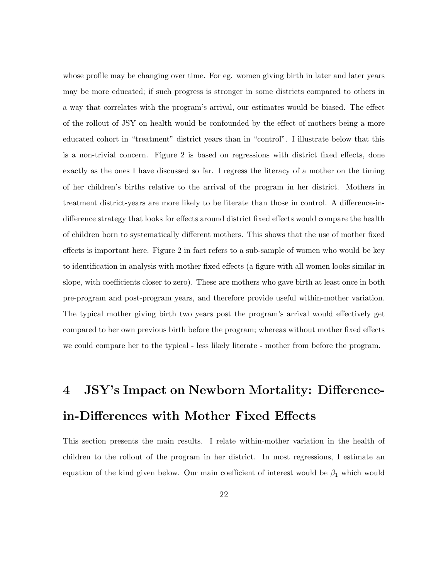whose profile may be changing over time. For eg. women giving birth in later and later years may be more educated; if such progress is stronger in some districts compared to others in a way that correlates with the program's arrival, our estimates would be biased. The effect of the rollout of JSY on health would be confounded by the effect of mothers being a more educated cohort in "treatment" district years than in "control". I illustrate below that this is a non-trivial concern. Figure 2 is based on regressions with district fixed effects, done exactly as the ones I have discussed so far. I regress the literacy of a mother on the timing of her children's births relative to the arrival of the program in her district. Mothers in treatment district-years are more likely to be literate than those in control. A difference-indifference strategy that looks for effects around district fixed effects would compare the health of children born to systematically different mothers. This shows that the use of mother fixed effects is important here. Figure 2 in fact refers to a sub-sample of women who would be key to identification in analysis with mother fixed effects (a figure with all women looks similar in slope, with coefficients closer to zero). These are mothers who gave birth at least once in both pre-program and post-program years, and therefore provide useful within-mother variation. The typical mother giving birth two years post the program's arrival would effectively get compared to her own previous birth before the program; whereas without mother fixed effects we could compare her to the typical - less likely literate - mother from before the program.

## 4 JSY's Impact on Newborn Mortality: Differencein-Differences with Mother Fixed Effects

This section presents the main results. I relate within-mother variation in the health of children to the rollout of the program in her district. In most regressions, I estimate an equation of the kind given below. Our main coefficient of interest would be  $\beta_1$  which would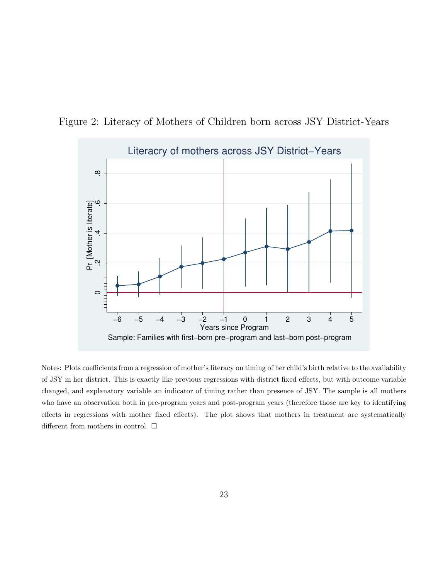



Notes: Plots coefficients from a regression of mother's literacy on timing of her child's birth relative to the availability of JSY in her district. This is exactly like previous regressions with district fixed effects, but with outcome variable changed, and explanatory variable an indicator of timing rather than presence of JSY. The sample is all mothers who have an observation both in pre-program years and post-program years (therefore those are key to identifying effects in regressions with mother fixed effects). The plot shows that mothers in treatment are systematically different from mothers in control.  $\Box$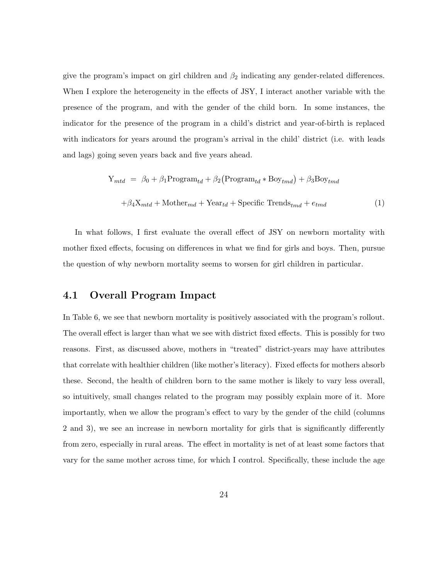give the program's impact on girl children and  $\beta_2$  indicating any gender-related differences. When I explore the heterogeneity in the effects of JSY, I interact another variable with the presence of the program, and with the gender of the child born. In some instances, the indicator for the presence of the program in a child's district and year-of-birth is replaced with indicators for years around the program's arrival in the child' district (i.e. with leads and lags) going seven years back and five years ahead.

$$
Y_{mtd} = \beta_0 + \beta_1 \text{Program}_{td} + \beta_2 (\text{Program}_{td} * \text{Boy}_{tmd}) + \beta_3 \text{Boy}_{tmd}
$$

$$
+ \beta_4 X_{mtd} + \text{Mother}_{md} + \text{Year}_{td} + \text{Specific Trends}_{tmd} + e_{tmd}
$$
(1)

In what follows, I first evaluate the overall effect of JSY on newborn mortality with mother fixed effects, focusing on differences in what we find for girls and boys. Then, pursue the question of why newborn mortality seems to worsen for girl children in particular.

### 4.1 Overall Program Impact

In Table 6, we see that newborn mortality is positively associated with the program's rollout. The overall effect is larger than what we see with district fixed effects. This is possibly for two reasons. First, as discussed above, mothers in "treated" district-years may have attributes that correlate with healthier children (like mother's literacy). Fixed effects for mothers absorb these. Second, the health of children born to the same mother is likely to vary less overall, so intuitively, small changes related to the program may possibly explain more of it. More importantly, when we allow the program's effect to vary by the gender of the child (columns 2 and 3), we see an increase in newborn mortality for girls that is significantly differently from zero, especially in rural areas. The effect in mortality is net of at least some factors that vary for the same mother across time, for which I control. Specifically, these include the age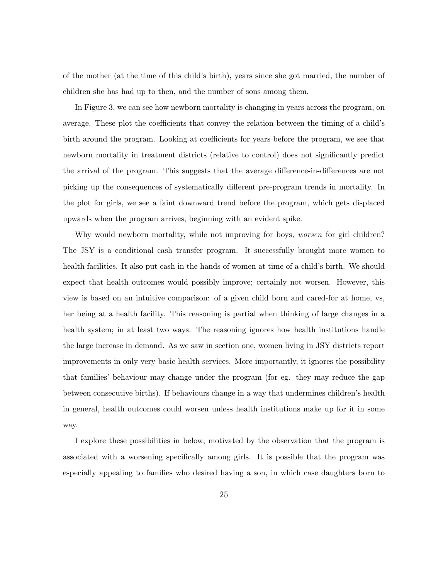of the mother (at the time of this child's birth), years since she got married, the number of children she has had up to then, and the number of sons among them.

In Figure 3, we can see how newborn mortality is changing in years across the program, on average. These plot the coefficients that convey the relation between the timing of a child's birth around the program. Looking at coefficients for years before the program, we see that newborn mortality in treatment districts (relative to control) does not significantly predict the arrival of the program. This suggests that the average difference-in-differences are not picking up the consequences of systematically different pre-program trends in mortality. In the plot for girls, we see a faint downward trend before the program, which gets displaced upwards when the program arrives, beginning with an evident spike.

Why would newborn mortality, while not improving for boys, *worsen* for girl children? The JSY is a conditional cash transfer program. It successfully brought more women to health facilities. It also put cash in the hands of women at time of a child's birth. We should expect that health outcomes would possibly improve; certainly not worsen. However, this view is based on an intuitive comparison: of a given child born and cared-for at home, vs, her being at a health facility. This reasoning is partial when thinking of large changes in a health system; in at least two ways. The reasoning ignores how health institutions handle the large increase in demand. As we saw in section one, women living in JSY districts report improvements in only very basic health services. More importantly, it ignores the possibility that families' behaviour may change under the program (for eg. they may reduce the gap between consecutive births). If behaviours change in a way that undermines children's health in general, health outcomes could worsen unless health institutions make up for it in some way.

I explore these possibilities in below, motivated by the observation that the program is associated with a worsening specifically among girls. It is possible that the program was especially appealing to families who desired having a son, in which case daughters born to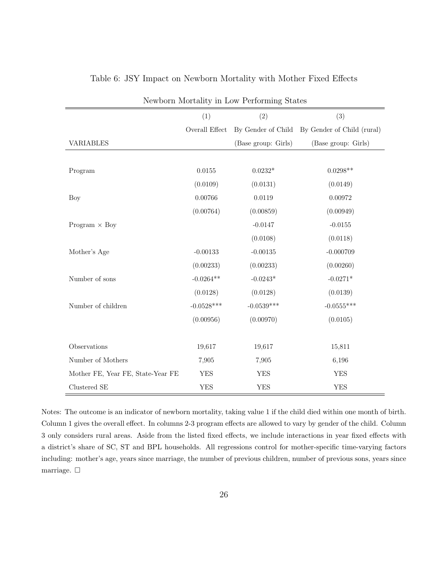| Newborn Mortality in Low Performing States |                |                     |                                               |  |
|--------------------------------------------|----------------|---------------------|-----------------------------------------------|--|
|                                            | (1)            | (2)                 | (3)                                           |  |
|                                            | Overall Effect |                     | By Gender of Child By Gender of Child (rural) |  |
| <b>VARIABLES</b>                           |                | (Base group: Girls) | (Base group: Girls)                           |  |
|                                            |                |                     |                                               |  |
| Program                                    | 0.0155         | $0.0232*$           | $0.0298**$                                    |  |
|                                            | (0.0109)       | (0.0131)            | (0.0149)                                      |  |
| Boy                                        | 0.00766        | 0.0119              | 0.00972                                       |  |
|                                            | (0.00764)      | (0.00859)           | (0.00949)                                     |  |
| Program $\times$ Boy                       |                | $-0.0147$           | $-0.0155$                                     |  |
|                                            |                | (0.0108)            | (0.0118)                                      |  |
| Mother's Age                               | $-0.00133$     | $-0.00135$          | $-0.000709$                                   |  |
|                                            | (0.00233)      | (0.00233)           | (0.00260)                                     |  |
| Number of sons                             | $-0.0264**$    | $-0.0243*$          | $-0.0271*$                                    |  |
|                                            | (0.0128)       | (0.0128)            | (0.0139)                                      |  |
| Number of children                         | $-0.0528***$   | $-0.0539***$        | $-0.0555***$                                  |  |
|                                            | (0.00956)      | (0.00970)           | (0.0105)                                      |  |
|                                            |                |                     |                                               |  |
| Observations                               | 19,617         | 19,617              | 15,811                                        |  |
| Number of Mothers                          | 7,905          | 7,905               | 6,196                                         |  |
| Mother FE, Year FE, State-Year FE          | <b>YES</b>     | <b>YES</b>          | <b>YES</b>                                    |  |
| Clustered SE                               | <b>YES</b>     | <b>YES</b>          | <b>YES</b>                                    |  |

#### Table 6: JSY Impact on Newborn Mortality with Mother Fixed Effects

Notes: The outcome is an indicator of newborn mortality, taking value 1 if the child died within one month of birth. Column 1 gives the overall effect. In columns 2-3 program effects are allowed to vary by gender of the child. Column 3 only considers rural areas. Aside from the listed fixed effects, we include interactions in year fixed effects with a district's share of SC, ST and BPL households. All regressions control for mother-specific time-varying factors including: mother's age, years since marriage, the number of previous children, number of previous sons, years since marriage.  $\square$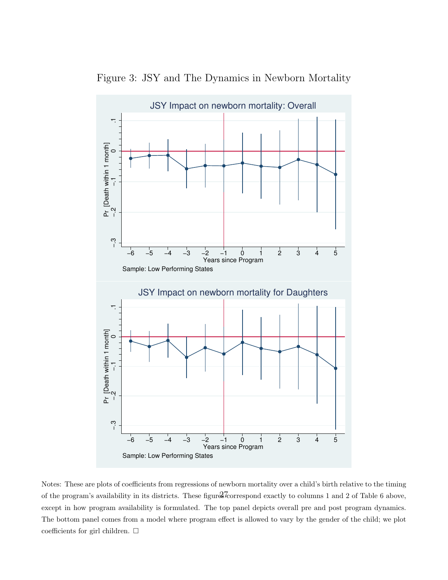

Figure 3: JSY and The Dynamics in Newborn Mortality

Notes: These are plots of coefficients from regressions of newborn mortality over a child's birth relative to the timing of the program's availability in its districts. These figures correspond exactly to columns 1 and 2 of Table 6 above, except in how program availability is formulated. The top panel depicts overall pre and post program dynamics. The bottom panel comes from a model where program effect is allowed to vary by the gender of the child; we plot coefficients for girl children.  $\Box$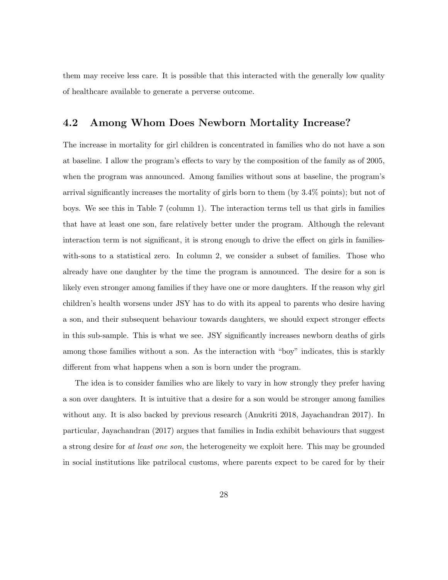them may receive less care. It is possible that this interacted with the generally low quality of healthcare available to generate a perverse outcome.

### 4.2 Among Whom Does Newborn Mortality Increase?

The increase in mortality for girl children is concentrated in families who do not have a son at baseline. I allow the program's effects to vary by the composition of the family as of 2005, when the program was announced. Among families without sons at baseline, the program's arrival significantly increases the mortality of girls born to them (by 3.4% points); but not of boys. We see this in Table 7 (column 1). The interaction terms tell us that girls in families that have at least one son, fare relatively better under the program. Although the relevant interaction term is not significant, it is strong enough to drive the effect on girls in familieswith-sons to a statistical zero. In column 2, we consider a subset of families. Those who already have one daughter by the time the program is announced. The desire for a son is likely even stronger among families if they have one or more daughters. If the reason why girl children's health worsens under JSY has to do with its appeal to parents who desire having a son, and their subsequent behaviour towards daughters, we should expect stronger effects in this sub-sample. This is what we see. JSY significantly increases newborn deaths of girls among those families without a son. As the interaction with "boy" indicates, this is starkly different from what happens when a son is born under the program.

The idea is to consider families who are likely to vary in how strongly they prefer having a son over daughters. It is intuitive that a desire for a son would be stronger among families without any. It is also backed by previous research (Anukriti 2018, Jayachandran 2017). In particular, Jayachandran (2017) argues that families in India exhibit behaviours that suggest a strong desire for at least one son, the heterogeneity we exploit here. This may be grounded in social institutions like patrilocal customs, where parents expect to be cared for by their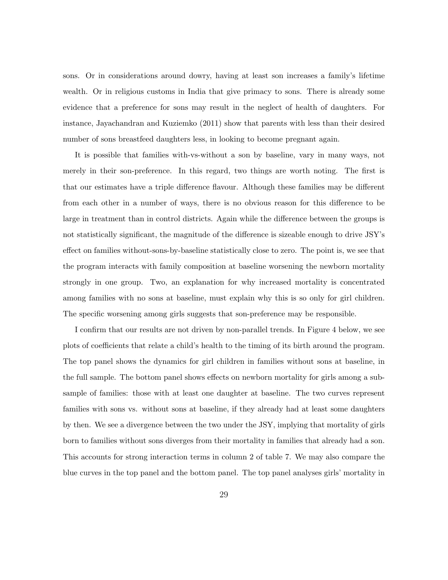sons. Or in considerations around dowry, having at least son increases a family's lifetime wealth. Or in religious customs in India that give primacy to sons. There is already some evidence that a preference for sons may result in the neglect of health of daughters. For instance, Jayachandran and Kuziemko (2011) show that parents with less than their desired number of sons breastfeed daughters less, in looking to become pregnant again.

It is possible that families with-vs-without a son by baseline, vary in many ways, not merely in their son-preference. In this regard, two things are worth noting. The first is that our estimates have a triple difference flavour. Although these families may be different from each other in a number of ways, there is no obvious reason for this difference to be large in treatment than in control districts. Again while the difference between the groups is not statistically significant, the magnitude of the difference is sizeable enough to drive JSY's effect on families without-sons-by-baseline statistically close to zero. The point is, we see that the program interacts with family composition at baseline worsening the newborn mortality strongly in one group. Two, an explanation for why increased mortality is concentrated among families with no sons at baseline, must explain why this is so only for girl children. The specific worsening among girls suggests that son-preference may be responsible.

I confirm that our results are not driven by non-parallel trends. In Figure 4 below, we see plots of coefficients that relate a child's health to the timing of its birth around the program. The top panel shows the dynamics for girl children in families without sons at baseline, in the full sample. The bottom panel shows effects on newborn mortality for girls among a subsample of families: those with at least one daughter at baseline. The two curves represent families with sons vs. without sons at baseline, if they already had at least some daughters by then. We see a divergence between the two under the JSY, implying that mortality of girls born to families without sons diverges from their mortality in families that already had a son. This accounts for strong interaction terms in column 2 of table 7. We may also compare the blue curves in the top panel and the bottom panel. The top panel analyses girls' mortality in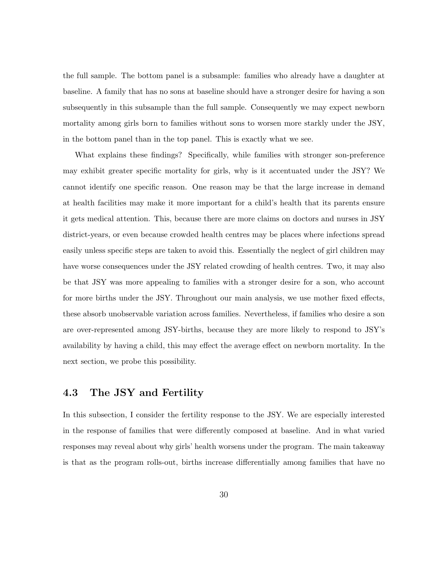the full sample. The bottom panel is a subsample: families who already have a daughter at baseline. A family that has no sons at baseline should have a stronger desire for having a son subsequently in this subsample than the full sample. Consequently we may expect newborn mortality among girls born to families without sons to worsen more starkly under the JSY, in the bottom panel than in the top panel. This is exactly what we see.

What explains these findings? Specifically, while families with stronger son-preference may exhibit greater specific mortality for girls, why is it accentuated under the JSY? We cannot identify one specific reason. One reason may be that the large increase in demand at health facilities may make it more important for a child's health that its parents ensure it gets medical attention. This, because there are more claims on doctors and nurses in JSY district-years, or even because crowded health centres may be places where infections spread easily unless specific steps are taken to avoid this. Essentially the neglect of girl children may have worse consequences under the JSY related crowding of health centres. Two, it may also be that JSY was more appealing to families with a stronger desire for a son, who account for more births under the JSY. Throughout our main analysis, we use mother fixed effects, these absorb unobservable variation across families. Nevertheless, if families who desire a son are over-represented among JSY-births, because they are more likely to respond to JSY's availability by having a child, this may effect the average effect on newborn mortality. In the next section, we probe this possibility.

### 4.3 The JSY and Fertility

In this subsection, I consider the fertility response to the JSY. We are especially interested in the response of families that were differently composed at baseline. And in what varied responses may reveal about why girls' health worsens under the program. The main takeaway is that as the program rolls-out, births increase differentially among families that have no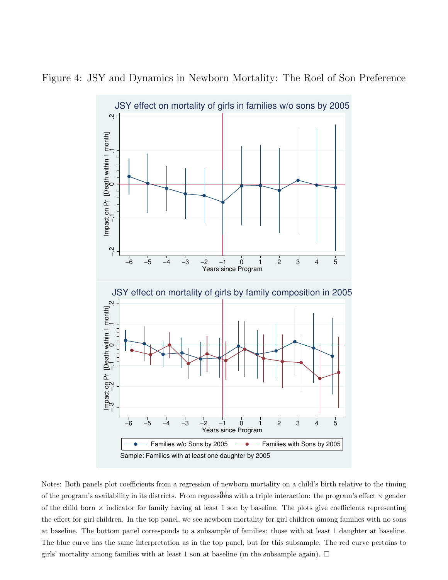

Figure 4: JSY and Dynamics in Newborn Mortality: The Roel of Son Preference

Notes: Both panels plot coefficients from a regression of newborn mortality on a child's birth relative to the timing of the program's availability in its districts. From regressions with a triple interaction: the program's effect  $\times$  gender of the child born  $\times$  indicator for family having at least 1 son by baseline. The plots give coefficients representing the effect for girl children. In the top panel, we see newborn mortality for girl children among families with no sons at baseline. The bottom panel corresponds to a subsample of families: those with at least 1 daughter at baseline. The blue curve has the same interpretation as in the top panel, but for this subsample. The red curve pertains to girls' mortality among families with at least 1 son at baseline (in the subsample again).  $\Box$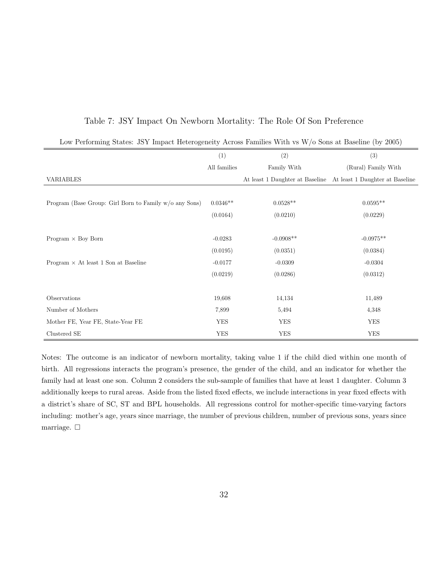| Low Performing States: JSY Impact Heterogeneity Across Families With vs $W/o$ Sons at Baseline (by 2005) |              |             |                                                                 |  |
|----------------------------------------------------------------------------------------------------------|--------------|-------------|-----------------------------------------------------------------|--|
|                                                                                                          | (1)          | (2)         | (3)                                                             |  |
|                                                                                                          | All families | Family With | (Rural) Family With                                             |  |
| VARIABLES                                                                                                |              |             | At least 1 Daughter at Baseline At least 1 Daughter at Baseline |  |
|                                                                                                          |              |             |                                                                 |  |
| Program (Base Group: Girl Born to Family w/o any Sons)                                                   | $0.0346**$   | $0.0528**$  | $0.0595**$                                                      |  |
|                                                                                                          | (0.0164)     | (0.0210)    | (0.0229)                                                        |  |
|                                                                                                          |              |             |                                                                 |  |
| Program $\times$ Boy Born                                                                                | $-0.0283$    | $-0.0908**$ | $-0.0975**$                                                     |  |
|                                                                                                          | (0.0195)     | (0.0351)    | (0.0384)                                                        |  |
| Program $\times$ At least 1 Son at Baseline                                                              | $-0.0177$    | $-0.0309$   | $-0.0304$                                                       |  |
|                                                                                                          | (0.0219)     | (0.0286)    | (0.0312)                                                        |  |
|                                                                                                          |              |             |                                                                 |  |
| Observations                                                                                             | 19,608       | 14,134      | 11,489                                                          |  |
| Number of Mothers                                                                                        | 7,899        | 5,494       | 4,348                                                           |  |
| Mother FE, Year FE, State-Year FE                                                                        | <b>YES</b>   | <b>YES</b>  | <b>YES</b>                                                      |  |
| Clustered SE                                                                                             | <b>YES</b>   | <b>YES</b>  | <b>YES</b>                                                      |  |

### Table 7: JSY Impact On Newborn Mortality: The Role Of Son Preference

Notes: The outcome is an indicator of newborn mortality, taking value 1 if the child died within one month of birth. All regressions interacts the program's presence, the gender of the child, and an indicator for whether the family had at least one son. Column 2 considers the sub-sample of families that have at least 1 daughter. Column 3 additionally keeps to rural areas. Aside from the listed fixed effects, we include interactions in year fixed effects with a district's share of SC, ST and BPL households. All regressions control for mother-specific time-varying factors including: mother's age, years since marriage, the number of previous children, number of previous sons, years since marriage.  $\Box$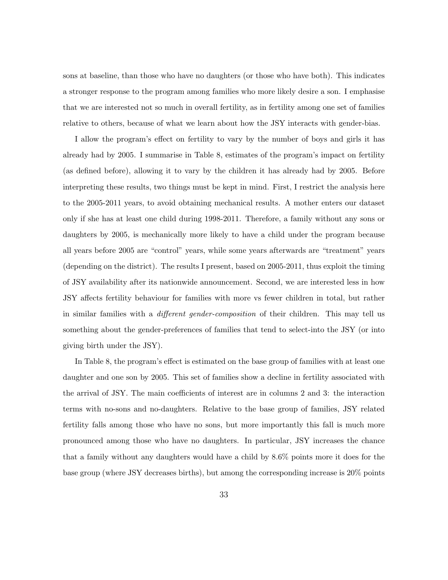sons at baseline, than those who have no daughters (or those who have both). This indicates a stronger response to the program among families who more likely desire a son. I emphasise that we are interested not so much in overall fertility, as in fertility among one set of families relative to others, because of what we learn about how the JSY interacts with gender-bias.

I allow the program's effect on fertility to vary by the number of boys and girls it has already had by 2005. I summarise in Table 8, estimates of the program's impact on fertility (as defined before), allowing it to vary by the children it has already had by 2005. Before interpreting these results, two things must be kept in mind. First, I restrict the analysis here to the 2005-2011 years, to avoid obtaining mechanical results. A mother enters our dataset only if she has at least one child during 1998-2011. Therefore, a family without any sons or daughters by 2005, is mechanically more likely to have a child under the program because all years before 2005 are "control" years, while some years afterwards are "treatment" years (depending on the district). The results I present, based on 2005-2011, thus exploit the timing of JSY availability after its nationwide announcement. Second, we are interested less in how JSY affects fertility behaviour for families with more vs fewer children in total, but rather in similar families with a *different gender-composition* of their children. This may tell us something about the gender-preferences of families that tend to select-into the JSY (or into giving birth under the JSY).

In Table 8, the program's effect is estimated on the base group of families with at least one daughter and one son by 2005. This set of families show a decline in fertility associated with the arrival of JSY. The main coefficients of interest are in columns 2 and 3: the interaction terms with no-sons and no-daughters. Relative to the base group of families, JSY related fertility falls among those who have no sons, but more importantly this fall is much more pronounced among those who have no daughters. In particular, JSY increases the chance that a family without any daughters would have a child by 8.6% points more it does for the base group (where JSY decreases births), but among the corresponding increase is 20% points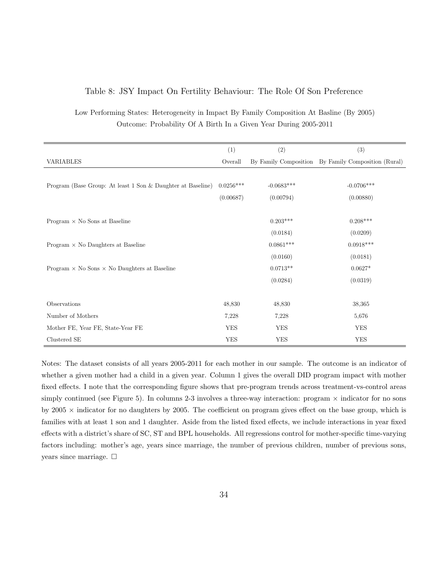#### Table 8: JSY Impact On Fertility Behaviour: The Role Of Son Preference

Low Performing States: Heterogeneity in Impact By Family Composition At Basline (By 2005) Outcome: Probability Of A Birth In a Given Year During 2005-2011

|                                                             | (1)         | (2)          | (3)                                                 |
|-------------------------------------------------------------|-------------|--------------|-----------------------------------------------------|
| VARIABLES                                                   | Overall     |              | By Family Composition By Family Composition (Rural) |
|                                                             |             |              |                                                     |
| Program (Base Group: At least 1 Son & Daughter at Baseline) | $0.0256***$ | $-0.0683***$ | $-0.0706***$                                        |
|                                                             | (0.00687)   | (0.00794)    | (0.00880)                                           |
|                                                             |             |              |                                                     |
| Program $\times$ No Sons at Baseline                        |             | $0.203***$   | $0.208***$                                          |
|                                                             |             | (0.0184)     | (0.0209)                                            |
| Program $\times$ No Daughters at Baseline                   |             | $0.0861***$  | $0.0918***$                                         |
|                                                             |             | (0.0160)     | (0.0181)                                            |
| Program $\times$ No Sons $\times$ No Daughters at Baseline  |             | $0.0713**$   | $0.0627*$                                           |
|                                                             |             | (0.0284)     | (0.0319)                                            |
|                                                             |             |              |                                                     |
| Observations                                                | 48,830      | 48,830       | 38,365                                              |
| Number of Mothers                                           | 7,228       | 7,228        | 5,676                                               |
| Mother FE, Year FE, State-Year FE                           | <b>YES</b>  | YES          | <b>YES</b>                                          |
| Clustered SE                                                | <b>YES</b>  | <b>YES</b>   | <b>YES</b>                                          |

Notes: The dataset consists of all years 2005-2011 for each mother in our sample. The outcome is an indicator of whether a given mother had a child in a given year. Column 1 gives the overall DID program impact with mother fixed effects. I note that the corresponding figure shows that pre-program trends across treatment-vs-control areas simply continued (see Figure 5). In columns 2-3 involves a three-way interaction: program  $\times$  indicator for no sons by  $2005 \times$  indicator for no daughters by 2005. The coefficient on program gives effect on the base group, which is families with at least 1 son and 1 daughter. Aside from the listed fixed effects, we include interactions in year fixed effects with a district's share of SC, ST and BPL households. All regressions control for mother-specific time-varying factors including: mother's age, years since marriage, the number of previous children, number of previous sons, years since marriage.  $\square$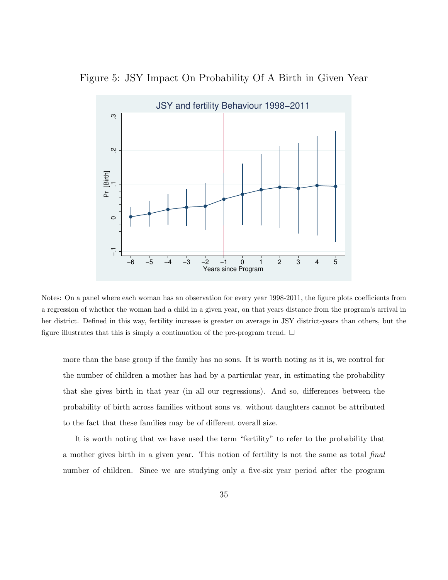Figure 5: JSY Impact On Probability Of A Birth in Given Year



Notes: On a panel where each woman has an observation for every year 1998-2011, the figure plots coefficients from a regression of whether the woman had a child in a given year, on that years distance from the program's arrival in her district. Defined in this way, fertility increase is greater on average in JSY district-years than others, but the figure illustrates that this is simply a continuation of the pre-program trend.  $\Box$ 

more than the base group if the family has no sons. It is worth noting as it is, we control for the number of children a mother has had by a particular year, in estimating the probability that she gives birth in that year (in all our regressions). And so, differences between the probability of birth across families without sons vs. without daughters cannot be attributed to the fact that these families may be of different overall size.

It is worth noting that we have used the term "fertility" to refer to the probability that a mother gives birth in a given year. This notion of fertility is not the same as total final number of children. Since we are studying only a five-six year period after the program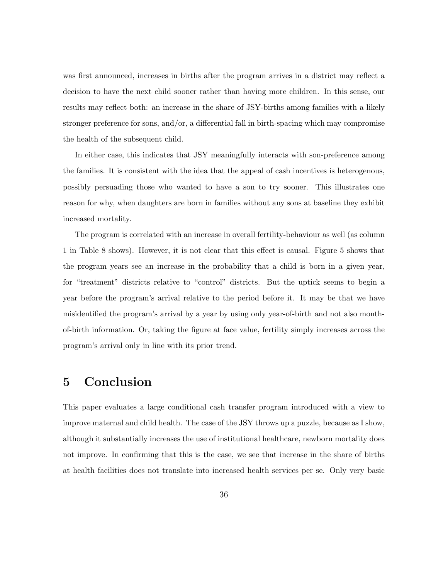was first announced, increases in births after the program arrives in a district may reflect a decision to have the next child sooner rather than having more children. In this sense, our results may reflect both: an increase in the share of JSY-births among families with a likely stronger preference for sons, and/or, a differential fall in birth-spacing which may compromise the health of the subsequent child.

In either case, this indicates that JSY meaningfully interacts with son-preference among the families. It is consistent with the idea that the appeal of cash incentives is heterogenous, possibly persuading those who wanted to have a son to try sooner. This illustrates one reason for why, when daughters are born in families without any sons at baseline they exhibit increased mortality.

The program is correlated with an increase in overall fertility-behaviour as well (as column 1 in Table 8 shows). However, it is not clear that this effect is causal. Figure 5 shows that the program years see an increase in the probability that a child is born in a given year, for "treatment" districts relative to "control" districts. But the uptick seems to begin a year before the program's arrival relative to the period before it. It may be that we have misidentified the program's arrival by a year by using only year-of-birth and not also monthof-birth information. Or, taking the figure at face value, fertility simply increases across the program's arrival only in line with its prior trend.

### 5 Conclusion

This paper evaluates a large conditional cash transfer program introduced with a view to improve maternal and child health. The case of the JSY throws up a puzzle, because as I show, although it substantially increases the use of institutional healthcare, newborn mortality does not improve. In confirming that this is the case, we see that increase in the share of births at health facilities does not translate into increased health services per se. Only very basic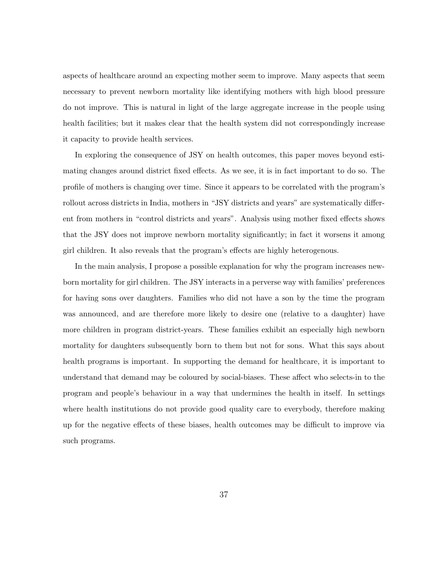aspects of healthcare around an expecting mother seem to improve. Many aspects that seem necessary to prevent newborn mortality like identifying mothers with high blood pressure do not improve. This is natural in light of the large aggregate increase in the people using health facilities; but it makes clear that the health system did not correspondingly increase it capacity to provide health services.

In exploring the consequence of JSY on health outcomes, this paper moves beyond estimating changes around district fixed effects. As we see, it is in fact important to do so. The profile of mothers is changing over time. Since it appears to be correlated with the program's rollout across districts in India, mothers in "JSY districts and years" are systematically different from mothers in "control districts and years". Analysis using mother fixed effects shows that the JSY does not improve newborn mortality significantly; in fact it worsens it among girl children. It also reveals that the program's effects are highly heterogenous.

In the main analysis, I propose a possible explanation for why the program increases newborn mortality for girl children. The JSY interacts in a perverse way with families' preferences for having sons over daughters. Families who did not have a son by the time the program was announced, and are therefore more likely to desire one (relative to a daughter) have more children in program district-years. These families exhibit an especially high newborn mortality for daughters subsequently born to them but not for sons. What this says about health programs is important. In supporting the demand for healthcare, it is important to understand that demand may be coloured by social-biases. These affect who selects-in to the program and people's behaviour in a way that undermines the health in itself. In settings where health institutions do not provide good quality care to everybody, therefore making up for the negative effects of these biases, health outcomes may be difficult to improve via such programs.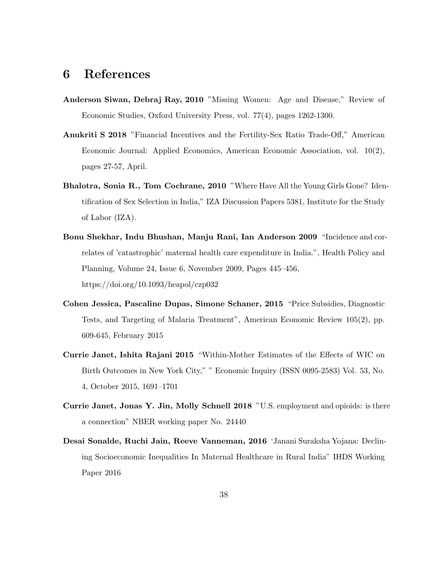### 6 References

- Anderson Siwan, Debraj Ray, 2010 "Missing Women: Age and Disease," Review of Economic Studies, Oxford University Press, vol. 77(4), pages 1262-1300.
- Anukriti S 2018 "Financial Incentives and the Fertility-Sex Ratio Trade-Off," American Economic Journal: Applied Economics, American Economic Association, vol. 10(2), pages 27-57, April.
- Bhalotra, Sonia R., Tom Cochrane, 2010 "Where Have All the Young Girls Gone? Identification of Sex Selection in India," IZA Discussion Papers 5381, Institute for the Study of Labor (IZA).
- Bonu Shekhar, Indu Bhushan, Manju Rani, Ian Anderson 2009 "Incidence and correlates of 'catastrophic' maternal health care expenditure in India.", Health Policy and Planning, Volume 24, Issue 6, November 2009, Pages 445–456, https://doi.org/10.1093/heapol/czp032
- Cohen Jessica, Pascaline Dupas, Simone Schaner, 2015 "Price Subsidies, Diagnostic Tests, and Targeting of Malaria Treatment", American Economic Review 105(2), pp. 609-645, February 2015
- Currie Janet, Ishita Rajani 2015 "Within-Mother Estimates of the Effects of WIC on Birth Outcomes in New York City," " Economic Inquiry (ISSN 0095-2583) Vol. 53, No. 4, October 2015, 1691–1701
- Currie Janet, Jonas Y. Jin, Molly Schnell 2018 "U.S. employment and opioids: is there a connection" NBER working paper No. 24440
- Desai Sonalde, Ruchi Jain, Reeve Vanneman, 2016 'Janani Suraksha Yojana: Declining Socioeconomic Inequalities In Maternal Healthcare in Rural India" IHDS Working Paper 2016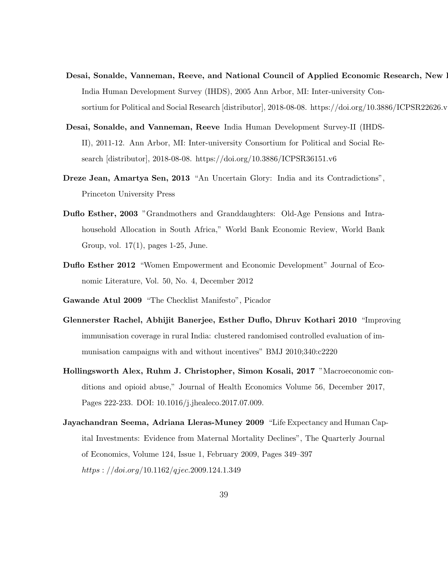- Desai, Sonalde, Vanneman, Reeve, and National Council of Applied Economic Research, New 1 India Human Development Survey (IHDS), 2005 Ann Arbor, MI: Inter-university Consortium for Political and Social Research [distributor], 2018-08-08. https://doi.org/10.3886/ICPSR22626.v
- Desai, Sonalde, and Vanneman, Reeve India Human Development Survey-II (IHDS-II), 2011-12. Ann Arbor, MI: Inter-university Consortium for Political and Social Research [distributor], 2018-08-08. https://doi.org/10.3886/ICPSR36151.v6
- Dreze Jean, Amartya Sen, 2013 "An Uncertain Glory: India and its Contradictions", Princeton University Press
- Duflo Esther, 2003 "Grandmothers and Granddaughters: Old-Age Pensions and Intrahousehold Allocation in South Africa," World Bank Economic Review, World Bank Group, vol. 17(1), pages 1-25, June.
- Duflo Esther 2012 "Women Empowerment and Economic Development" Journal of Economic Literature, Vol. 50, No. 4, December 2012
- Gawande Atul 2009 "The Checklist Manifesto", Picador
- Glennerster Rachel, Abhijit Banerjee, Esther Duflo, Dhruv Kothari 2010 "Improving immunisation coverage in rural India: clustered randomised controlled evaluation of immunisation campaigns with and without incentives" BMJ 2010;340:c2220
- Hollingsworth Alex, Ruhm J. Christopher, Simon Kosali, 2017 "Macroeconomic conditions and opioid abuse," Journal of Health Economics Volume 56, December 2017, Pages 222-233. DOI: 10.1016/j.jhealeco.2017.07.009.
- Jayachandran Seema, Adriana Lleras-Muney 2009 "Life Expectancy and Human Capital Investments: Evidence from Maternal Mortality Declines", The Quarterly Journal of Economics, Volume 124, Issue 1, February 2009, Pages 349–397 https : //doi.org/10.1162/qjec.2009.124.1.349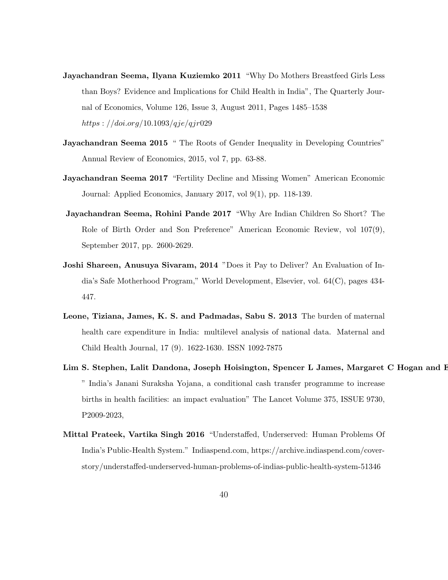- Jayachandran Seema, Ilyana Kuziemko 2011 "Why Do Mothers Breastfeed Girls Less than Boys? Evidence and Implications for Child Health in India", The Quarterly Journal of Economics, Volume 126, Issue 3, August 2011, Pages 1485–1538 https :  $//doi.org/10.1093/qje/qjr029$
- Jayachandran Seema 2015 " The Roots of Gender Inequality in Developing Countries" Annual Review of Economics, 2015, vol 7, pp. 63-88.
- Jayachandran Seema 2017 "Fertility Decline and Missing Women" American Economic Journal: Applied Economics, January 2017, vol 9(1), pp. 118-139.
- Jayachandran Seema, Rohini Pande 2017 "Why Are Indian Children So Short? The Role of Birth Order and Son Preference" American Economic Review, vol 107(9), September 2017, pp. 2600-2629.
- Joshi Shareen, Anusuya Sivaram, 2014 "Does it Pay to Deliver? An Evaluation of India's Safe Motherhood Program," World Development, Elsevier, vol. 64(C), pages 434- 447.
- Leone, Tiziana, James, K. S. and Padmadas, Sabu S. 2013 The burden of maternal health care expenditure in India: multilevel analysis of national data. Maternal and Child Health Journal, 17 (9). 1622-1630. ISSN 1092-7875
- Lim S. Stephen, Lalit Dandona, Joseph Hoisington, Spencer L James, Margaret C Hogan and E " India's Janani Suraksha Yojana, a conditional cash transfer programme to increase births in health facilities: an impact evaluation" The Lancet Volume 375, ISSUE 9730, P2009-2023,
- Mittal Prateek, Vartika Singh 2016 "Understaffed, Underserved: Human Problems Of India's Public-Health System." Indiaspend.com, https://archive.indiaspend.com/coverstory/understaffed-underserved-human-problems-of-indias-public-health-system-51346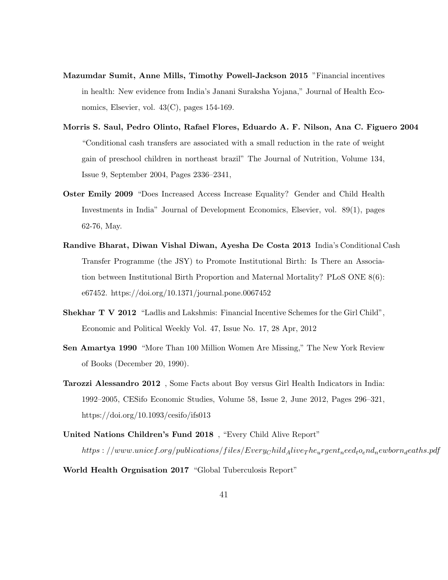- Mazumdar Sumit, Anne Mills, Timothy Powell-Jackson 2015 "Financial incentives in health: New evidence from India's Janani Suraksha Yojana," Journal of Health Economics, Elsevier, vol.  $43(C)$ , pages 154-169.
- Morris S. Saul, Pedro Olinto, Rafael Flores, Eduardo A. F. Nilson, Ana C. Figuero 2004 "Conditional cash transfers are associated with a small reduction in the rate of weight gain of preschool children in northeast brazil" The Journal of Nutrition, Volume 134, Issue 9, September 2004, Pages 2336–2341,
- Oster Emily 2009 "Does Increased Access Increase Equality? Gender and Child Health Investments in India" Journal of Development Economics, Elsevier, vol. 89(1), pages 62-76, May.
- Randive Bharat, Diwan Vishal Diwan, Ayesha De Costa 2013 India's Conditional Cash Transfer Programme (the JSY) to Promote Institutional Birth: Is There an Association between Institutional Birth Proportion and Maternal Mortality? PLoS ONE 8(6): e67452. https://doi.org/10.1371/journal.pone.0067452
- Shekhar T V 2012 "Ladlis and Lakshmis: Financial Incentive Schemes for the Girl Child", Economic and Political Weekly Vol. 47, Issue No. 17, 28 Apr, 2012
- Sen Amartya 1990 "More Than 100 Million Women Are Missing," The New York Review of Books (December 20, 1990).
- Tarozzi Alessandro 2012 , Some Facts about Boy versus Girl Health Indicators in India: 1992–2005, CESifo Economic Studies, Volume 58, Issue 2, June 2012, Pages 296–321, https://doi.org/10.1093/cesifo/ifs013
- United Nations Children's Fund 2018 , "Every Child Alive Report"  $https://www.unicef.org/publications/files/EveryChild_A live_T he_urgent_need_t o_end_newborn_aeaths.pdf$

World Health Orgnisation 2017 "Global Tuberculosis Report"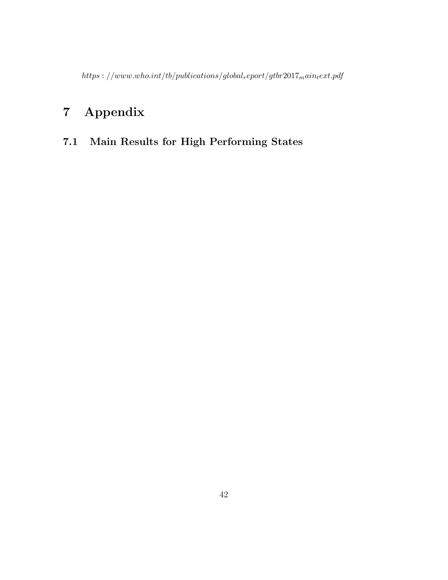https : //www.who.int/tb/publications/globalreport/gtbr2017maintext.pdf

## 7 Appendix

### 7.1 Main Results for High Performing States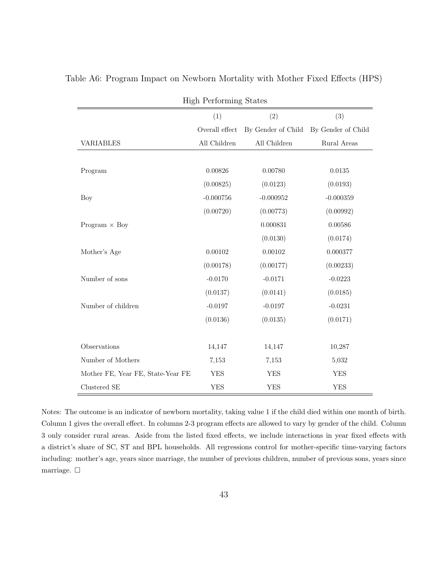| <b>High Performing States</b>     |                |                    |                    |
|-----------------------------------|----------------|--------------------|--------------------|
|                                   | (1)            | (2)                | (3)                |
|                                   | Overall effect | By Gender of Child | By Gender of Child |
| <b>VARIABLES</b>                  | All Children   | All Children       | Rural Areas        |
|                                   |                |                    |                    |
| Program                           | 0.00826        | 0.00780            | 0.0135             |
|                                   | (0.00825)      | (0.0123)           | (0.0193)           |
| Boy                               | $-0.000756$    | $-0.000952$        | $-0.000359$        |
|                                   | (0.00720)      | (0.00773)          | (0.00992)          |
| Program $\times$ Boy              |                | 0.000831           | 0.00586            |
|                                   |                | (0.0130)           | (0.0174)           |
| Mother's Age                      | 0.00102        | 0.00102            | 0.000377           |
|                                   | (0.00178)      | (0.00177)          | (0.00233)          |
| Number of sons                    | $-0.0170$      | $-0.0171$          | $-0.0223$          |
|                                   | (0.0137)       | (0.0141)           | (0.0185)           |
| Number of children                | $-0.0197$      | $-0.0197$          | $-0.0231$          |
|                                   | (0.0136)       | (0.0135)           | (0.0171)           |
|                                   |                |                    |                    |
| Observations                      | 14,147         | 14,147             | 10,287             |
| Number of Mothers                 | 7,153          | 7,153              | 5,032              |
| Mother FE, Year FE, State-Year FE | <b>YES</b>     | <b>YES</b>         | <b>YES</b>         |
| Clustered SE                      | <b>YES</b>     | <b>YES</b>         | <b>YES</b>         |

Table A6: Program Impact on Newborn Mortality with Mother Fixed Effects (HPS)

Notes: The outcome is an indicator of newborn mortality, taking value 1 if the child died within one month of birth. Column 1 gives the overall effect. In columns 2-3 program effects are allowed to vary by gender of the child. Column 3 only consider rural areas. Aside from the listed fixed effects, we include interactions in year fixed effects with a district's share of SC, ST and BPL households. All regressions control for mother-specific time-varying factors including: mother's age, years since marriage, the number of previous children, number of previous sons, years since marriage.  $\Box$